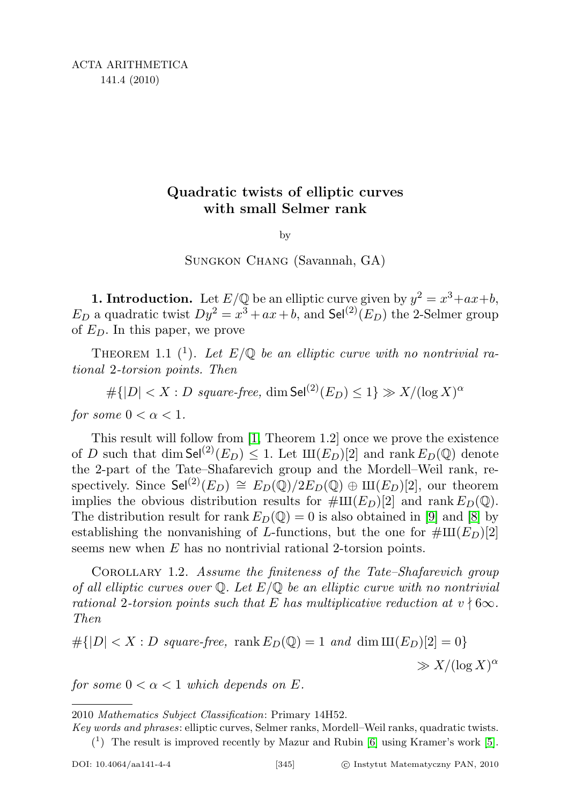# Quadratic twists of elliptic curves with small Selmer rank

by

Sungkon Chang (Savannah, GA)

**1. Introduction.** Let  $E/\mathbb{Q}$  be an elliptic curve given by  $y^2 = x^3 + ax + b$ ,  $E_D$  a quadratic twist  $Dy^2 = x^3 + ax + b$ , and  $\mathsf{Sel}^{(2)}(E_D)$  the 2-Selmer group of  $E_D$ . In this paper, we prove

<span id="page-0-0"></span>THEOREM 1.1 (<sup>1</sup>). Let  $E/\mathbb{Q}$  be an elliptic curve with no nontrivial rational 2-torsion points. Then

 $\# \{|D| < X : D \; \mathit{square-free}, \dim \mathsf{Sel}^{(2)}(E_D) \leq 1\} \gg X/(\log X)^\alpha$ 

for some  $0 < \alpha < 1$ .

This result will follow from [\[1,](#page-21-0) Theorem 1.2] once we prove the existence of D such that dim  $\mathsf{Sel}^{(2)}(E_D) \leq 1$ . Let  $\mathrm{III}(E_D)[2]$  and rank  $E_D(\mathbb{Q})$  denote the 2-part of the Tate–Shafarevich group and the Mordell–Weil rank, respectively. Since  $\mathsf{Sel}^{(2)}(E_D) \cong E_D(\mathbb{Q})/2E_D(\mathbb{Q}) \oplus \text{III}(E_D)[2]$ , our theorem implies the obvious distribution results for  $\#III(E_D)[2]$  and rank  $E_D(\mathbb{Q})$ . The distribution result for rank  $E_D(\mathbb{Q}) = 0$  is also obtained in [\[9\]](#page-22-0) and [\[8\]](#page-22-1) by establishing the nonvanishing of L-functions, but the one for  $\#\text{III}(E_D)[2]$ seems new when E has no nontrivial rational 2-torsion points.

<span id="page-0-1"></span>Corollary 1.2. Assume the finiteness of the Tate–Shafarevich group of all elliptic curves over  $\mathbb Q$ . Let  $E/\mathbb Q$  be an elliptic curve with no nontrivial rational 2-torsion points such that E has multiplicative reduction at  $v \nmid 6\infty$ . Then

$$
\# \{|D| < X : D \ \text{square-free, } \operatorname{rank} E_D(\mathbb{Q}) = 1 \ \text{and} \ \dim \mathrm{III}(E_D)[2] = 0\}
$$
\n
$$
\gg X/(\log X)^{\alpha}
$$

for some  $0 < \alpha < 1$  which depends on E.

<sup>2010</sup> Mathematics Subject Classification: Primary 14H52.

Key words and phrases: elliptic curves, Selmer ranks, Mordell–Weil ranks, quadratic twists.  $(1)$  The result is improved recently by Mazur and Rubin [\[6\]](#page-22-2) using Kramer's work [\[5\]](#page-22-3).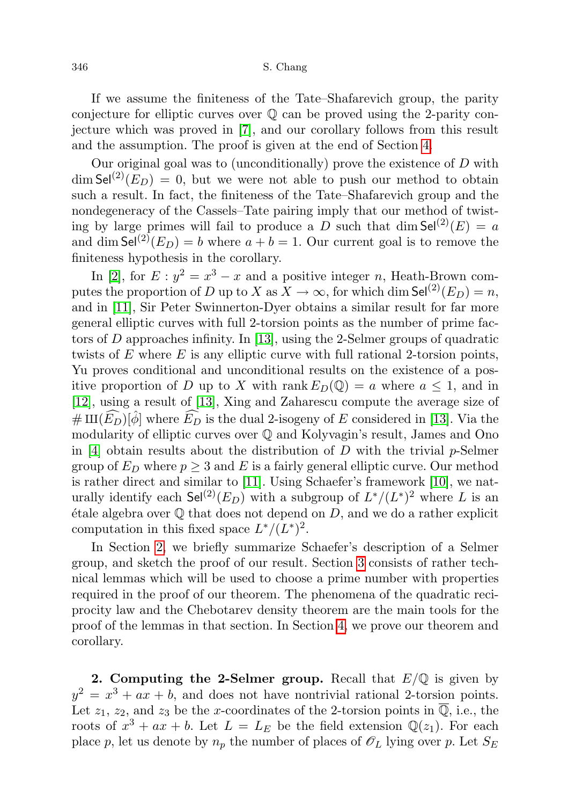If we assume the finiteness of the Tate–Shafarevich group, the parity conjecture for elliptic curves over Q can be proved using the 2-parity conjecture which was proved in [\[7\]](#page-22-4), and our corollary follows from this result and the assumption. The proof is given at the end of Section [4.](#page-13-0)

Our original goal was to (unconditionally) prove the existence of D with  $\dim$  Sel<sup>(2)</sup>( $E_D$ ) = 0, but we were not able to push our method to obtain such a result. In fact, the finiteness of the Tate–Shafarevich group and the nondegeneracy of the Cassels–Tate pairing imply that our method of twisting by large primes will fail to produce a D such that dim  $\mathsf{Sel}^{(2)}(E) = a$ and dim  $\text{Sel}^{(2)}(E_D) = b$  where  $a + b = 1$ . Our current goal is to remove the finiteness hypothesis in the corollary.

In [\[2\]](#page-21-1), for  $E: y^2 = x^3 - x$  and a positive integer n, Heath-Brown computes the proportion of D up to X as  $X \to \infty$ , for which dim Sel<sup>(2)</sup>(E<sub>D</sub>) = n, and in [\[11\]](#page-22-5), Sir Peter Swinnerton-Dyer obtains a similar result for far more general elliptic curves with full 2-torsion points as the number of prime factors of D approaches infinity. In [\[13\]](#page-22-6), using the 2-Selmer groups of quadratic twists of  $E$  where  $E$  is any elliptic curve with full rational 2-torsion points, Yu proves conditional and unconditional results on the existence of a positive proportion of D up to X with rank  $E_D(\mathbb{Q}) = a$  where  $a \leq 1$ , and in [\[12\]](#page-22-7), using a result of [\[13\]](#page-22-6), Xing and Zaharescu compute the average size of # III $(\widehat{E}_D)[\hat{\phi}]$  where  $\widehat{E}_D$  is the dual 2-isogeny of E considered in [\[13\]](#page-22-6). Via the modularity of elliptic curves over Q and Kolyvagin's result, James and Ono in [\[4\]](#page-21-2) obtain results about the distribution of  $D$  with the trivial p-Selmer group of  $E_D$  where  $p \geq 3$  and E is a fairly general elliptic curve. Our method is rather direct and similar to [\[11\]](#page-22-5). Using Schaefer's framework [\[10\]](#page-22-8), we naturally identify each  $\mathsf{Sel}^{(2)}(E_D)$  with a subgroup of  $L^*/(L^*)^2$  where L is an  $\acute{e}$ tale algebra over  $\mathbb Q$  that does not depend on D, and we do a rather explicit computation in this fixed space  $L^*/(L^*)^2$ .

In Section [2,](#page-1-0) we briefly summarize Schaefer's description of a Selmer group, and sketch the proof of our result. Section [3](#page-5-0) consists of rather technical lemmas which will be used to choose a prime number with properties required in the proof of our theorem. The phenomena of the quadratic reciprocity law and the Chebotarev density theorem are the main tools for the proof of the lemmas in that section. In Section [4,](#page-13-0) we prove our theorem and corollary.

<span id="page-1-0"></span>**2. Computing the 2-Selmer group.** Recall that  $E/\mathbb{Q}$  is given by  $y^2 = x^3 + ax + b$ , and does not have nontrivial rational 2-torsion points. Let  $z_1, z_2$ , and  $z_3$  be the x-coordinates of the 2-torsion points in  $\overline{\mathbb{Q}}$ , i.e., the roots of  $x^3 + ax + b$ . Let  $L = L_E$  be the field extension  $\mathbb{Q}(z_1)$ . For each place p, let us denote by  $n_p$  the number of places of  $\mathscr{O}_L$  lying over p. Let  $S_E$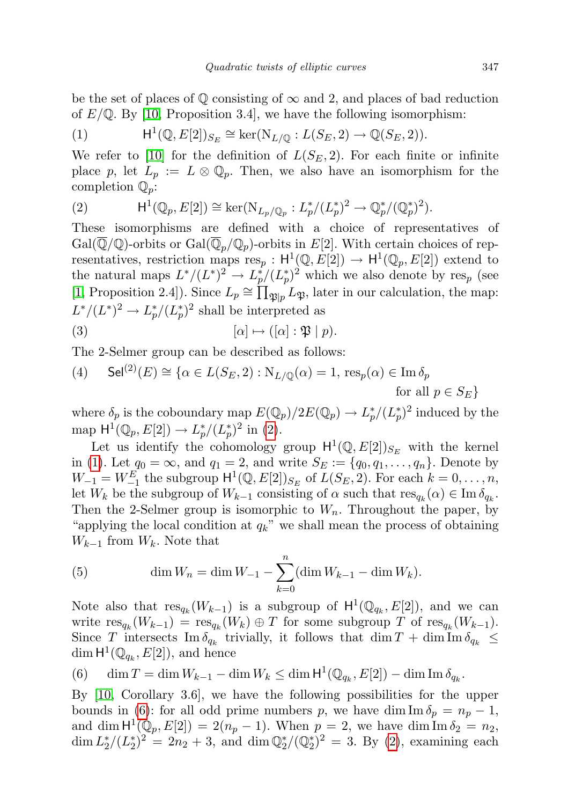be the set of places of  $\mathbb Q$  consisting of  $\infty$  and 2, and places of bad reduction of  $E/\mathbb{Q}$ . By [\[10,](#page-22-8) Proposition 3.4], we have the following isomorphism:

<span id="page-2-1"></span>(1) 
$$
\mathsf{H}^1(\mathbb{Q}, E[2])_{S_E} \cong \ker(\mathrm{N}_{L/\mathbb{Q}} : L(S_E, 2) \to \mathbb{Q}(S_E, 2)).
$$

We refer to [\[10\]](#page-22-8) for the definition of  $L(S_E, 2)$ . For each finite or infinite place p, let  $L_p := L \otimes \mathbb{Q}_p$ . Then, we also have an isomorphism for the completion  $\mathbb{Q}_p$ :

<span id="page-2-0"></span>(2) 
$$
\mathsf{H}^1(\mathbb{Q}_p, E[2]) \cong \ker(\mathrm{N}_{L_p/\mathbb{Q}_p} : L_p^*/(L_p^*)^2 \to \mathbb{Q}_p^*/(\mathbb{Q}_p^*)^2).
$$

These isomorphisms are defined with a choice of representatives of  $Gal(\overline{\mathbb{Q}}/\mathbb{Q})$ -orbits or  $Gal(\overline{\mathbb{Q}}_p/\mathbb{Q}_p)$ -orbits in  $E[2]$ . With certain choices of representatives, restriction maps  $res_p : H^1(\mathbb{Q}, E[2]) \to H^1(\mathbb{Q}_p, E[2])$  extend to the natural maps  $L^*/(L^*)^2 \to L_p^*/(L_p^*)^2$  which we also denote by res<sub>p</sub> (see [\[1,](#page-21-0) Proposition 2.4]). Since  $L_p \cong \prod_{\mathfrak{P}\mid p} L_{\mathfrak{P}}$ , later in our calculation, the map:  $L^*/(L^*)^2 \to L_p^*/(L_p^*)^2$  shall be interpreted as

<span id="page-2-3"></span>(3) 
$$
[\alpha] \mapsto ([\alpha] : \mathfrak{P} | p).
$$

The 2-Selmer group can be described as follows:

<span id="page-2-4"></span>(4) 
$$
\operatorname{Sel}^{(2)}(E) \cong \{ \alpha \in L(S_E, 2) : \mathrm{N}_{L/\mathbb{Q}}(\alpha) = 1, \operatorname{res}_p(\alpha) \in \operatorname{Im} \delta_p \text{ for all } p \in S_E \}
$$

where  $\delta_p$  is the coboundary map  $E(\mathbb{Q}_p)/2E(\mathbb{Q}_p) \to L_p^*/(L_p^*)^2$  induced by the map  $H^1(\mathbb{Q}_p, E[2]) \to L_p^*/(L_p^*)^2$  in [\(2\)](#page-2-0).

Let us identify the cohomology group  $H^1(\mathbb{Q}, E[2])_{S_E}$  with the kernel in [\(1\)](#page-2-1). Let  $q_0 = \infty$ , and  $q_1 = 2$ , and write  $S_E := \{q_0, q_1, \ldots, q_n\}$ . Denote by  $W_{-1} = W_{-1}^E$  the subgroup  $\mathsf{H}^1(\mathbb{Q}, E[2])_{S_E}$  of  $L(S_E, 2)$ . For each  $k = 0, \ldots, n$ , let  $W_k$  be the subgroup of  $W_{k-1}$  consisting of  $\alpha$  such that  $res_{q_k}(\alpha) \in \text{Im } \delta_{q_k}$ . Then the 2-Selmer group is isomorphic to  $W_n$ . Throughout the paper, by "applying the local condition at  $q_k$ " we shall mean the process of obtaining  $W_{k-1}$  from  $W_k$ . Note that

<span id="page-2-5"></span>(5) 
$$
\dim W_n = \dim W_{-1} - \sum_{k=0}^n (\dim W_{k-1} - \dim W_k).
$$

Note also that  $res_{q_k}(W_{k-1})$  is a subgroup of  $\mathsf{H}^1(\mathbb{Q}_{q_k}, E[2])$ , and we can write  $res_{q_k}(W_{k-1}) = res_{q_k}(W_k) \oplus T$  for some subgroup T of  $res_{q_k}(W_{k-1})$ . Since T intersects  $\text{Im }\delta_{q_k}$  trivially, it follows that  $\dim T + \dim \text{Im }\delta_{q_k} \leq$ dim  $H^1(\mathbb{Q}_{q_k}, E[2])$ , and hence

<span id="page-2-2"></span>(6) dim  $T = \dim W_{k-1} - \dim W_k \leq \dim H^1(\mathbb{Q}_{q_k}, E[2]) - \dim \mathop{\mathrm{Im}} \delta_{q_k}.$ 

By [\[10,](#page-22-8) Corollary 3.6], we have the following possibilities for the upper bounds in [\(6\)](#page-2-2): for all odd prime numbers p, we have dim Im  $\delta_p = n_p - 1$ , and dim  $H^1(\mathbb{Q}_p, E[2]) = 2(n_p - 1)$ . When  $p = 2$ , we have dim Im  $\delta_2 = n_2$ , dim  $L_2^*/(L_2^*)^2 = 2n_2 + 3$ , and dim  $\mathbb{Q}_2^*/(\mathbb{Q}_2^*)^2 = 3$ . By [\(2\)](#page-2-0), examining each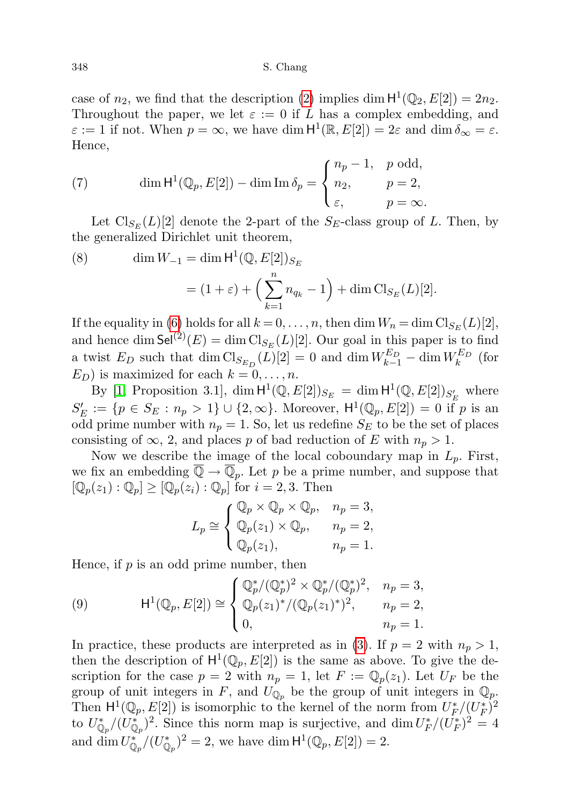case of  $n_2$ , we find that the description [\(2\)](#page-2-0) implies dim  $H^1(\mathbb{Q}_2, E[2]) = 2n_2$ . Throughout the paper, we let  $\varepsilon := 0$  if L has a complex embedding, and  $\varepsilon := 1$  if not. When  $p = \infty$ , we have dim  $\mathsf{H}^1(\mathbb{R}, E[2]) = 2\varepsilon$  and dim  $\delta_{\infty} = \varepsilon$ . Hence,

<span id="page-3-1"></span>(7) 
$$
\dim H^{1}(\mathbb{Q}_{p}, E[2]) - \dim \mathrm{Im} \, \delta_{p} = \begin{cases} n_{p} - 1, & p \text{ odd,} \\ n_{2}, & p = 2, \\ \varepsilon, & p = \infty. \end{cases}
$$

Let  $\text{Cl}_{S_E}(L)[2]$  denote the 2-part of the  $S_E$ -class group of L. Then, by the generalized Dirichlet unit theorem,

<span id="page-3-2"></span>(8) 
$$
\dim W_{-1} = \dim H^1(\mathbb{Q}, E[2])_{S_E}
$$

$$
= (1 + \varepsilon) + \left(\sum_{k=1}^n n_{q_k} - 1\right) + \dim \text{Cl}_{S_E}(L)[2].
$$

If the equality in [\(6\)](#page-2-2) holds for all  $k = 0, \ldots, n$ , then dim  $W_n = \dim \text{Cl}_{S_E}(L)[2]$ , and hence dim  $\mathsf{Sel}^{(2)}(E) = \dim \mathrm{Cl}_{S_E}(L)[2]$ . Our goal in this paper is to find a twist  $E_D$  such that  $\dim \text{Cl}_{S_{E_D}}(L)[2] = 0$  and  $\dim W_{k-1}^{E_D} - \dim W_k^{E_D}$  (for  $E_D$ ) is maximized for each  $k = 0, \ldots, n$ .

By [\[1,](#page-21-0) Proposition 3.1], dim  $H^1(\mathbb{Q}, E[2])_{S_E} = \dim H^1(\mathbb{Q}, E[2])_{S'_E}$  where  $S'_E := \{ p \in S_E : n_p > 1 \} \cup \{ 2, \infty \}.$  Moreover,  $H^1(\mathbb{Q}_p, E[2]) = 0$  if p is an odd prime number with  $n_p = 1$ . So, let us redefine  $S_E$  to be the set of places consisting of  $\infty$ , 2, and places p of bad reduction of E with  $n_p > 1$ .

Now we describe the image of the local coboundary map in  $L_p$ . First, we fix an embedding  $\overline{\mathbb{Q}} \to \overline{\mathbb{Q}}_p$ . Let p be a prime number, and suppose that  $[\mathbb{Q}_p(z_1) : \mathbb{Q}_p] \geq [\mathbb{Q}_p(z_i) : \mathbb{Q}_p]$  for  $i = 2, 3$ . Then

$$
L_p \cong \begin{cases} \mathbb{Q}_p \times \mathbb{Q}_p \times \mathbb{Q}_p, & n_p = 3, \\ \mathbb{Q}_p(z_1) \times \mathbb{Q}_p, & n_p = 2, \\ \mathbb{Q}_p(z_1), & n_p = 1. \end{cases}
$$

Hence, if  $p$  is an odd prime number, then

<span id="page-3-0"></span>(9) 
$$
\mathsf{H}^{1}(\mathbb{Q}_{p}, E[2]) \cong \begin{cases} \mathbb{Q}_{p}^{*}/(\mathbb{Q}_{p}^{*})^{2} \times \mathbb{Q}_{p}^{*}/(\mathbb{Q}_{p}^{*})^{2}, & n_{p} = 3, \\ \mathbb{Q}_{p}(z_{1})^{*}/(\mathbb{Q}_{p}(z_{1})^{*})^{2}, & n_{p} = 2, \\ 0, & n_{p} = 1. \end{cases}
$$

In practice, these products are interpreted as in [\(3\)](#page-2-3). If  $p = 2$  with  $n_p > 1$ , then the description of  $H^1(\mathbb{Q}_p, E[2])$  is the same as above. To give the description for the case  $p = 2$  with  $n_p = 1$ , let  $F := \mathbb{Q}_p(z_1)$ . Let  $U_F$  be the group of unit integers in F, and  $U_{\mathbb{Q}_p}$  be the group of unit integers in  $\mathbb{Q}_p$ . Then  $H^1(\mathbb{Q}_p, E[2])$  is isomorphic to the kernel of the norm from  $U_F^*/(U_F^*)^2$ to  $U^*_{\mathbb{Q}_p}/(U^*_{\mathbb{Q}_p})^2$ . Since this norm map is surjective, and dim  $U^*_F/(U^*_F)^2 = 4$ and  $\dim U^*_{\mathbb{Q}_p}/(U^*_{\mathbb{Q}_p})^2 = 2$ , we have  $\dim \mathsf{H}^1(\mathbb{Q}_p, E[2]) = 2$ .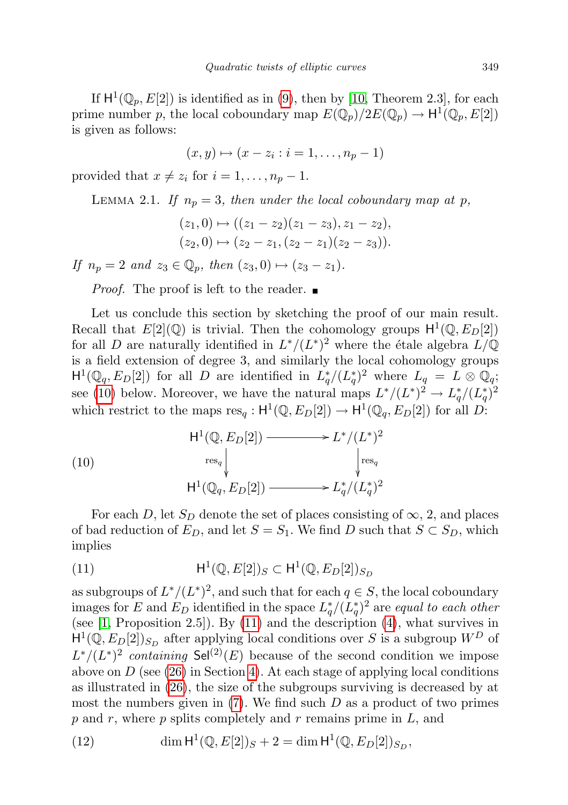If  $H^1(\mathbb{Q}_p, E[2])$  is identified as in [\(9\)](#page-3-0), then by [\[10,](#page-22-8) Theorem 2.3], for each prime number p, the local coboundary map  $E(\mathbb{Q}_p)/2E(\mathbb{Q}_p) \to \mathsf{H}^1(\mathbb{Q}_p, E[2])$ is given as follows:

$$
(x,y)\mapsto(x-z_i:i=1,\ldots,n_p-1)
$$

<span id="page-4-3"></span>provided that  $x \neq z_i$  for  $i = 1, \ldots, n_p - 1$ .

LEMMA 2.1. If  $n_p = 3$ , then under the local coboundary map at p,

$$
(z_1, 0) \mapsto ((z_1 - z_2)(z_1 - z_3), z_1 - z_2),
$$
  

$$
(z_2, 0) \mapsto (z_2 - z_1, (z_2 - z_1)(z_2 - z_3)).
$$

If  $n_p = 2$  and  $z_3 \in \mathbb{Q}_p$ , then  $(z_3, 0) \mapsto (z_3 - z_1)$ .

*Proof.* The proof is left to the reader.  $\blacksquare$ 

Let us conclude this section by sketching the proof of our main result. Recall that  $E[2](\mathbb{Q})$  is trivial. Then the cohomology groups  $H^1(\mathbb{Q}, E_D[2])$ for all D are naturally identified in  $L^*/(L^*)^2$  where the étale algebra  $L/\mathbb{Q}$ is a field extension of degree 3, and similarly the local cohomology groups  $H^1(\mathbb{Q}_q, E_D[2])$  for all D are identified in  $L_q^*/(L_q^*)^2$  where  $L_q = L \otimes \mathbb{Q}_q$ ; see [\(10\)](#page-4-0) below. Moreover, we have the natural maps  $L^*/(L^*)^2 \to L_q^*/(L_q^*)^2$ which restrict to the maps  $res_q : H^1(\mathbb{Q}, E_D[2]) \to H^1(\mathbb{Q}_q, E_D[2])$  for all D:

<span id="page-4-0"></span>(10)  
\n
$$
H^{1}(\mathbb{Q}, E_{D}[2]) \longrightarrow L^{*}/(L^{*})^{2}
$$
\n
$$
\downarrow_{\text{res}_{q}} \qquad \qquad \downarrow_{\text{res}_{q}}
$$
\n
$$
H^{1}(\mathbb{Q}_{q}, E_{D}[2]) \longrightarrow L^{*}_{q}/(L^{*}_{q})^{2}
$$

For each D, let  $S_D$  denote the set of places consisting of  $\infty$ , 2, and places of bad reduction of  $E_D$ , and let  $S = S_1$ . We find D such that  $S \subset S_D$ , which implies

<span id="page-4-1"></span>(11) 
$$
\mathsf{H}^1(\mathbb{Q}, E[2])_S \subset \mathsf{H}^1(\mathbb{Q}, E_D[2])_{S_D}
$$

as subgroups of  $L^*/(L^*)^2$ , and such that for each  $q \in S$ , the local coboundary images for E and  $E_D$  identified in the space  $L_q^*/(L_q^*)^2$  are equal to each other (see [\[1,](#page-21-0) Proposition 2.5]). By [\(11\)](#page-4-1) and the description [\(4\)](#page-2-4), what survives in  $H^1(\mathbb{Q}, E_D[2])_{S_D}$  after applying local conditions over S is a subgroup  $W^D$  of  $L^*/(L^*)^2$  containing Sel<sup>(2)</sup>(E) because of the second condition we impose above on  $D$  (see [\(26\)](#page-19-0) in Section [4\)](#page-13-0). At each stage of applying local conditions as illustrated in [\(26\)](#page-19-0), the size of the subgroups surviving is decreased by at most the numbers given in  $(7)$ . We find such D as a product of two primes  $p$  and r, where  $p$  splits completely and r remains prime in  $L$ , and

<span id="page-4-2"></span>(12) 
$$
\dim H^1(\mathbb{Q}, E[2])_S + 2 = \dim H^1(\mathbb{Q}, E_D[2])_{S_D},
$$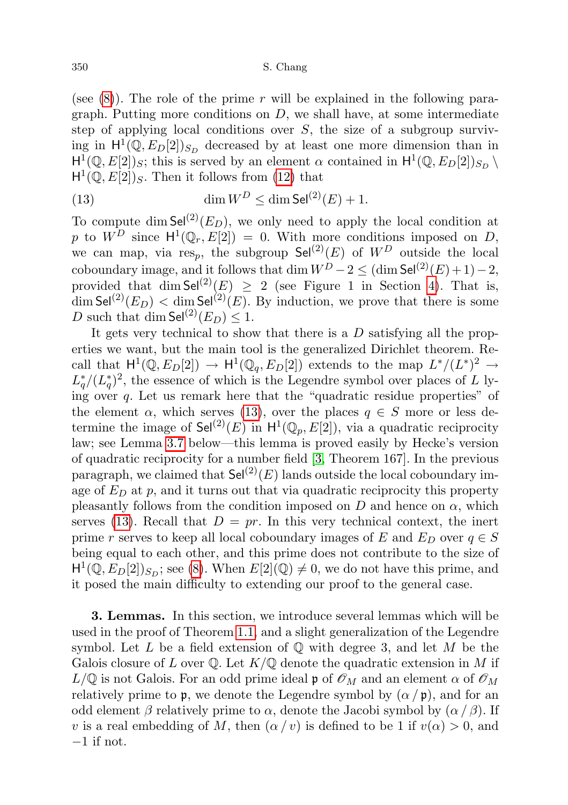(see  $(8)$ ). The role of the prime r will be explained in the following paragraph. Putting more conditions on  $D$ , we shall have, at some intermediate step of applying local conditions over  $S$ , the size of a subgroup surviving in  $H^1(\mathbb{Q}, E_D[2])_{S_D}$  decreased by at least one more dimension than in  $H^1(\mathbb{Q}, E[2])_S$ ; this is served by an element  $\alpha$  contained in  $H^1(\mathbb{Q}, E_D[2])_{S_D}$  $H^1(\mathbb{Q}, E[2])_S$ . Then it follows from [\(12\)](#page-4-2) that

<span id="page-5-1"></span>(13) 
$$
\dim W^D \le \dim \text{Sel}^{(2)}(E) + 1.
$$

To compute dim  $\mathsf{Sel}^{(2)}(E_D)$ , we only need to apply the local condition at p to  $W^D$  since  $H^1(\mathbb{Q}_r, E[2]) = 0$ . With more conditions imposed on D, we can map, via res<sub>p</sub>, the subgroup  $\mathsf{Sel}^{(2)}(E)$  of  $W^D$  outside the local coboundary image, and it follows that dim  $W^D - 2 \leq (\dim \mathsf{Sel}^{(2)}(E) + 1) - 2$ , provided that dim  $\mathsf{Sel}^{(2)}(E) \geq 2$  (see Figure 1 in Section [4\)](#page-13-0). That is,  $\dim$  Sel<sup>(2)</sup>( $E_D$ ) < dim Sel<sup>(2)</sup>( $E$ ). By induction, we prove that there is some D such that dim Sel<sup>(2)</sup>( $E_D$ ) < 1.

It gets very technical to show that there is a  $D$  satisfying all the properties we want, but the main tool is the generalized Dirichlet theorem. Recall that  $H^1(\mathbb{Q}, E_D[2]) \to H^1(\mathbb{Q}_q, E_D[2])$  extends to the map  $L^*/(L^*)^2 \to$  $L_q^*/(L_q^*)^2$ , the essence of which is the Legendre symbol over places of L lying over q. Let us remark here that the "quadratic residue properties" of the element  $\alpha$ , which serves [\(13\)](#page-5-1), over the places  $q \in S$  more or less determine the image of  $\mathsf{Sel}^{(2)}(E)$  in  $\mathsf{H}^1(\mathbb{Q}_p, E[2])$ , via a quadratic reciprocity law; see Lemma [3.7](#page-9-0) below—this lemma is proved easily by Hecke's version of quadratic reciprocity for a number field [\[3,](#page-21-3) Theorem 167]. In the previous paragraph, we claimed that  $\mathsf{Sel}^{(2)}(E)$  lands outside the local coboundary image of  $E_D$  at p, and it turns out that via quadratic reciprocity this property pleasantly follows from the condition imposed on D and hence on  $\alpha$ , which serves [\(13\)](#page-5-1). Recall that  $D = pr$ . In this very technical context, the inert prime r serves to keep all local coboundary images of E and  $E_D$  over  $q \in S$ being equal to each other, and this prime does not contribute to the size of  $H^1(\mathbb{Q}, E_D[2])_{S_D}$ ; see [\(8\)](#page-3-2). When  $E[2](\mathbb{Q}) \neq 0$ , we do not have this prime, and it posed the main difficulty to extending our proof to the general case.

<span id="page-5-0"></span>3. Lemmas. In this section, we introduce several lemmas which will be used in the proof of Theorem [1.1,](#page-0-0) and a slight generalization of the Legendre symbol. Let L be a field extension of  $\mathbb Q$  with degree 3, and let M be the Galois closure of L over Q. Let  $K/\mathbb{Q}$  denote the quadratic extension in M if  $L/\mathbb{Q}$  is not Galois. For an odd prime ideal p of  $\mathscr{O}_M$  and an element  $\alpha$  of  $\mathscr{O}_M$ relatively prime to **p**, we denote the Legendre symbol by  $(\alpha / \mathfrak{p})$ , and for an odd element  $\beta$  relatively prime to  $\alpha$ , denote the Jacobi symbol by  $(\alpha/\beta)$ . If v is a real embedding of M, then  $(\alpha/v)$  is defined to be 1 if  $v(\alpha) > 0$ , and  $-1$  if not.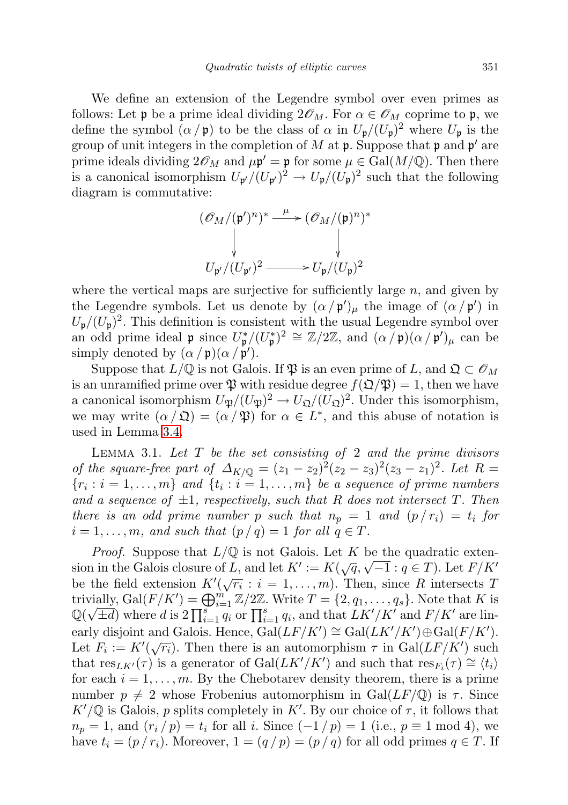We define an extension of the Legendre symbol over even primes as follows: Let  $\mathfrak p$  be a prime ideal dividing  $2\mathscr{O}_M$ . For  $\alpha \in \mathscr{O}_M$  coprime to  $\mathfrak p$ , we define the symbol  $(\alpha/\mathfrak{p})$  to be the class of  $\alpha$  in  $U_{\mathfrak{p}}/(U_{\mathfrak{p}})^2$  where  $U_{\mathfrak{p}}$  is the group of unit integers in the completion of M at  $\mathfrak p$ . Suppose that  $\mathfrak p$  and  $\mathfrak p'$  are prime ideals dividing  $2\mathscr{O}_M$  and  $\mu \mathfrak{p}' = \mathfrak{p}$  for some  $\mu \in \text{Gal}(M/\mathbb{Q})$ . Then there is a canonical isomorphism  $U_{\mathfrak{p}'}/(U_{\mathfrak{p}'})^2 \to U_{\mathfrak{p}}/(U_{\mathfrak{p}})^2$  such that the following diagram is commutative:

$$
(\mathscr{O}_M/(\mathfrak{p}')^n)^* \xrightarrow{\mu} (\mathscr{O}_M/(\mathfrak{p})^n)^*
$$
  
\n
$$
\downarrow \qquad \qquad \downarrow
$$
  
\n
$$
U_{\mathfrak{p}'}/(U_{\mathfrak{p}'})^2 \xrightarrow{\mu} U_{\mathfrak{p}}/(U_{\mathfrak{p}})^2
$$

where the vertical maps are surjective for sufficiently large  $n$ , and given by the Legendre symbols. Let us denote by  $(\alpha / \mathfrak{p}')_{\mu}$  the image of  $(\alpha / \mathfrak{p}')$  in  $U_{\mathfrak{p}}/(U_{\mathfrak{p}})^2$ . This definition is consistent with the usual Legendre symbol over an odd prime ideal  $\mathfrak{p}$  since  $U^*_{\mathfrak{p}}/(U^*_{\mathfrak{p}})^2 \cong \mathbb{Z}/2\mathbb{Z}$ , and  $(\alpha \nmid \mathfrak{p})(\alpha \nmid \mathfrak{p}')_{\mu}$  can be simply denoted by  $(\alpha / \mathfrak{p})(\alpha / \mathfrak{p}')$ .

Suppose that  $L/\mathbb{Q}$  is not Galois. If  $\mathfrak{P}$  is an even prime of L, and  $\mathfrak{Q} \subset \mathscr{O}_M$ is an unramified prime over  $\mathfrak P$  with residue degree  $f(\mathfrak Q/\mathfrak P)=1$ , then we have a canonical isomorphism  $U_{\mathfrak{P}}/(U_{\mathfrak{P}})^2 \to U_{\mathfrak{Q}}/(U_{\mathfrak{Q}})^2$ . Under this isomorphism, we may write  $(\alpha/\mathfrak{Q}) = (\alpha/\mathfrak{P})$  for  $\alpha \in L^*$ , and this abuse of notation is used in Lemma [3.4.](#page-8-0)

<span id="page-6-0"></span>LEMMA 3.1. Let  $T$  be the set consisting of 2 and the prime divisors of the square-free part of  $\Delta_{K/\mathbb{Q}} = (z_1 - z_2)^2 (z_2 - z_3)^2 (z_3 - z_1)^2$ . Let  $R =$  ${n_i : i = 1, \ldots, m}$  and  ${t_i : i = 1, \ldots, m}$  be a sequence of prime numbers and a sequence of  $\pm 1$ , respectively, such that R does not intersect T. Then there is an odd prime number p such that  $n_p = 1$  and  $(p/r_i) = t_i$  for  $i = 1, \ldots, m$ , and such that  $(p/q) = 1$  for all  $q \in T$ .

*Proof.* Suppose that  $L/\mathbb{Q}$  is not Galois. Let K be the quadratic exten-*Proof.* Suppose that  $L/\mathbb{Q}$  is not Galois. Let  $K$  be the quadratic extension in the Galois closure of L, and let  $K' := K(\sqrt{q}, \sqrt{-1} : q \in T)$ . Let  $F/K'$ be the field extension  $K'(\sqrt{r_i} : i = 1, \ldots, m)$ . Then, since R intersects T trivially,  $Gal(F/K') = \bigoplus_{i=1}^m \mathbb{Z}/2\mathbb{Z}$ . Write  $T = \{2, q_1, \ldots, q_s\}$ . Note that K is  $\mathbb{Q}(\sqrt{\pm d})$  where d is  $2\prod_{i=1}^{s} q_i$  or  $\prod_{i=1}^{s} q_i$ , and that  $LK'/K'$  and  $F/K'$  are linearly disjoint and Galois. Hence,  $Gal(LF/K') \cong Gal(LK'/K') \oplus Gal(F/K')$ . Let  $F_i := K'(\sqrt{r_i})$ . Then there is an automorphism  $\tau$  in  $Gal(LF/K')$  such that  $res_{LK'}(\tau)$  is a generator of  $Gal(LK'/K')$  and such that  $res_{F_i}(\tau) \cong \langle t_i \rangle$ for each  $i = 1, \ldots, m$ . By the Chebotarev density theorem, there is a prime number  $p \neq 2$  whose Frobenius automorphism in Gal( $LF/\mathbb{Q}$ ) is  $\tau$ . Since  $K' / \mathbb{Q}$  is Galois, p splits completely in K'. By our choice of  $\tau$ , it follows that  $n_p = 1$ , and  $(r_i / p) = t_i$  for all i. Since  $(-1 / p) = 1$  (i.e.,  $p \equiv 1 \mod 4$ ), we have  $t_i = (p / r_i)$ . Moreover,  $1 = (q / p) = (p / q)$  for all odd primes  $q \in T$ . If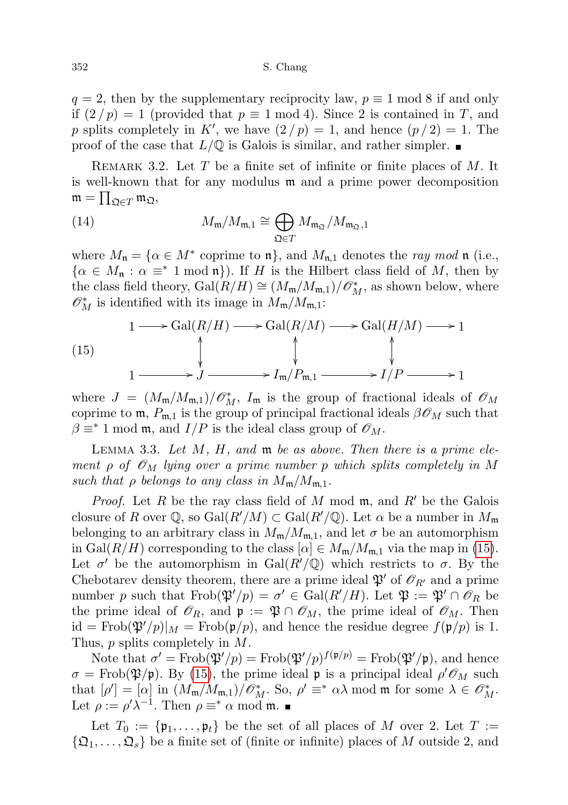352 S. Chang

 $q = 2$ , then by the supplementary reciprocity law,  $p \equiv 1 \mod 8$  if and only if  $(2 / p) = 1$  (provided that  $p \equiv 1 \mod 4$ ). Since 2 is contained in T, and p splits completely in K', we have  $(2 / p) = 1$ , and hence  $(p / 2) = 1$ . The proof of the case that  $L/\mathbb{Q}$  is Galois is similar, and rather simpler.

REMARK 3.2. Let  $T$  be a finite set of infinite or finite places of  $M$ . It is well-known that for any modulus m and a prime power decomposition  $\mathfrak{m}=\prod_{\mathfrak{Q}\in T}\mathfrak{m}_{\mathfrak{Q}},$ 

<span id="page-7-2"></span>(14) 
$$
M_{\mathfrak{m}}/M_{\mathfrak{m},1} \cong \bigoplus_{\mathfrak{Q} \in T} M_{\mathfrak{m}_{\mathfrak{Q}}}/M_{\mathfrak{m}_{\mathfrak{Q}},1}
$$

where  $M_{\mathfrak{n}} = {\alpha \in M^*}$  coprime to  $\mathfrak{n}$ , and  $M_{\mathfrak{n},1}$  denotes the ray mod  $\mathfrak{n}$  (i.e.,  $\{\alpha \in M_{\mathfrak{n}} : \alpha \equiv^* 1 \mod \mathfrak{n}\}\)$ . If H is the Hilbert class field of M, then by the class field theory,  $Gal(R/H) \cong (M_m/M_{m,1})/\mathcal{O}_M^*$ , as shown below, where  $\mathscr O^*_M$  is identified with its image in  $M_{\mathfrak m}/M_{\mathfrak m,1}$ :

<span id="page-7-0"></span>(15)  
\n
$$
1 \longrightarrow \text{Gal}(R/H) \longrightarrow \text{Gal}(R/M) \longrightarrow \text{Gal}(H/M) \longrightarrow 1
$$
\n
$$
\uparrow \qquad \qquad \qquad \uparrow \qquad \qquad \uparrow
$$
\n
$$
1 \longrightarrow J \longrightarrow I_{\mathfrak{m}}/P_{\mathfrak{m},1} \longrightarrow I/P \longrightarrow 1
$$

where  $J = (M_{m}/M_{m,1})/\mathcal{O}_{M}^{*}$ ,  $I_{m}$  is the group of fractional ideals of  $\mathcal{O}_{M}$ coprime to  $\mathfrak{m}$ ,  $P_{\mathfrak{m},1}$  is the group of principal fractional ideals  $\beta \mathcal{O}_M$  such that  $\beta \equiv^* 1 \mod \mathfrak{m}$ , and  $I/P$  is the ideal class group of  $\mathcal{O}_M$ .

<span id="page-7-1"></span>LEMMA 3.3. Let  $M$ ,  $H$ , and  $\mathfrak m$  be as above. Then there is a prime element  $\rho$  of  $\mathscr{O}_M$  lying over a prime number p which splits completely in M such that  $\rho$  belongs to any class in  $M_{\rm m}/M_{\rm m,1}$ .

*Proof.* Let R be the ray class field of M mod  $m$ , and R' be the Galois closure of R over Q, so  $Gal(R'/M) \subset Gal(R'/Q)$ . Let  $\alpha$  be a number in  $M_{\mathfrak{m}}$ belonging to an arbitrary class in  $M_{\rm m}/M_{\rm m,1}$ , and let  $\sigma$  be an automorphism in Gal( $R/H$ ) corresponding to the class  $\lbrack \alpha \rbrack \in M_{m}/M_{m,1}$  via the map in [\(15\)](#page-7-0). Let  $\sigma'$  be the automorphism in Gal( $R'/\mathbb{Q}$ ) which restricts to  $\sigma$ . By the Chebotarev density theorem, there are a prime ideal  $\mathfrak{P}'$  of  $\mathscr{O}_{R'}$  and a prime number p such that  $Frob(\mathfrak{P}'/p) = \sigma' \in Gal(R'/H)$ . Let  $\mathfrak{P} := \mathfrak{P}' \cap \mathscr{O}_R$  be the prime ideal of  $\mathscr{O}_R$ , and  $\mathfrak{p} := \mathfrak{P} \cap \mathscr{O}_M$ , the prime ideal of  $\mathscr{O}_M$ . Then  $id = \text{Frob}(\mathfrak{P}'/p)|_M = \text{Frob}(\mathfrak{p}/p)$ , and hence the residue degree  $f(\mathfrak{p}/p)$  is 1. Thus, p splits completely in M.

Note that  $\sigma' = \text{Frob}(\mathfrak{P}'/p) = \text{Frob}(\mathfrak{P}'/p)^{f(\mathfrak{p}/p)} = \text{Frob}(\mathfrak{P}'/p)$ , and hence  $\sigma = \text{Frob}(\mathfrak{P}/\mathfrak{p})$ . By [\(15\)](#page-7-0), the prime ideal  $\mathfrak{p}$  is a principal ideal  $\rho' \mathcal{O}_M$  such that  $[\rho'] = [\alpha]$  in  $(M_{\mathfrak{m}}/M_{\mathfrak{m},1})/\mathcal{O}_M^*$ . So,  $\rho' \equiv^* \alpha \lambda \mod \mathfrak{m}$  for some  $\lambda \in \mathcal{O}_M^*$ . Let  $\rho := \rho' \lambda^{-1}$ . Then  $\rho \equiv^* \alpha \mod m$ .

Let  $T_0 := \{ \mathfrak{p}_1, \ldots, \mathfrak{p}_t \}$  be the set of all places of M over 2. Let  $T :=$  $\{\mathfrak{Q}_1,\ldots,\mathfrak{Q}_s\}$  be a finite set of (finite or infinite) places of M outside 2, and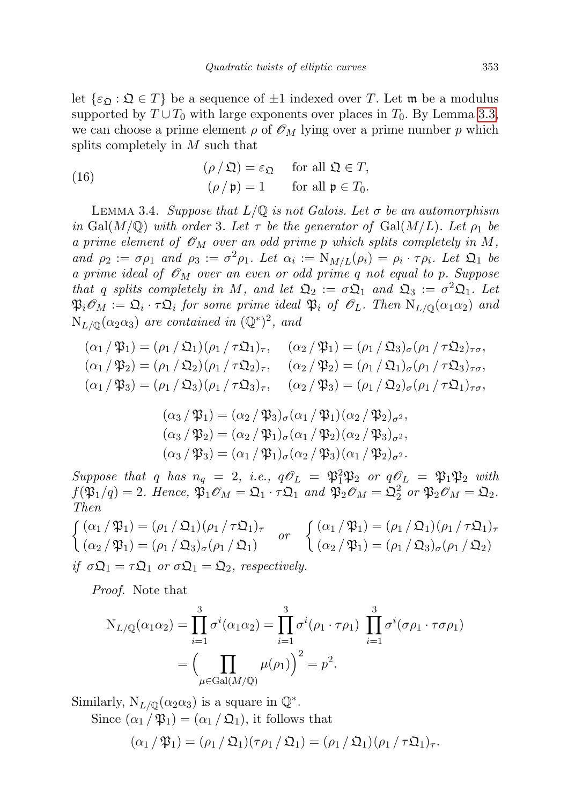let  $\{\varepsilon_{\mathfrak{O}} : \mathfrak{Q} \in T\}$  be a sequence of  $\pm 1$  indexed over T. Let m be a modulus supported by  $T \cup T_0$  with large exponents over places in  $T_0$ . By Lemma [3.3,](#page-7-1) we can choose a prime element  $\rho$  of  $\mathcal{O}_M$  lying over a prime number p which splits completely in  $M$  such that

<span id="page-8-1"></span>(16) 
$$
(\rho/\mathfrak{Q}) = \varepsilon_{\mathfrak{Q}} \quad \text{for all } \mathfrak{Q} \in T,
$$

$$
(\rho/\mathfrak{p}) = 1 \quad \text{for all } \mathfrak{p} \in T_0.
$$

<span id="page-8-0"></span>LEMMA 3.4. Suppose that  $L/\mathbb{Q}$  is not Galois. Let  $\sigma$  be an automorphism in Gal( $M/\mathbb{Q}$ ) with order 3. Let  $\tau$  be the generator of Gal( $M/L$ ). Let  $\rho_1$  be a prime element of  $\mathscr{O}_M$  over an odd prime p which splits completely in M, and  $\rho_2 := \sigma \rho_1$  and  $\rho_3 := \sigma^2 \rho_1$ . Let  $\alpha_i := N_{M/L}(\rho_i) = \rho_i \cdot \tau \rho_i$ . Let  $\mathfrak{Q}_1$  be a prime ideal of  $\mathscr{O}_M$  over an even or odd prime q not equal to p. Suppose that q splits completely in M, and let  $\mathfrak{Q}_2 := \sigma \mathfrak{Q}_1$  and  $\mathfrak{Q}_3 := \sigma^2 \mathfrak{Q}_1$ . Let  $\mathfrak{P}_i\mathscr{O}_M:=\mathfrak{Q}_i\cdot\tau\mathfrak{Q}_i$  for some prime ideal  $\mathfrak{P}_i$  of  $\mathscr{O}_L.$  Then  $\mathrm{N}_{L/\mathbb{Q}}(\alpha_1\alpha_2)$  and  $N_{L/\mathbb{Q}}(\alpha_2\alpha_3)$  are contained in  $(\mathbb{Q}^*)^2$ , and

$$
(\alpha_1/\mathfrak{P}_1) = (\rho_1/\mathfrak{Q}_1)(\rho_1/\tau\mathfrak{Q}_1)_{\tau}, \quad (\alpha_2/\mathfrak{P}_1) = (\rho_1/\mathfrak{Q}_3)_{\sigma}(\rho_1/\tau\mathfrak{Q}_2)_{\tau\sigma},
$$
  
\n
$$
(\alpha_1/\mathfrak{P}_2) = (\rho_1/\mathfrak{Q}_2)(\rho_1/\tau\mathfrak{Q}_2)_{\tau}, \quad (\alpha_2/\mathfrak{P}_2) = (\rho_1/\mathfrak{Q}_1)_{\sigma}(\rho_1/\tau\mathfrak{Q}_3)_{\tau\sigma},
$$
  
\n
$$
(\alpha_1/\mathfrak{P}_3) = (\rho_1/\mathfrak{Q}_3)(\rho_1/\tau\mathfrak{Q}_3)_{\tau}, \quad (\alpha_2/\mathfrak{P}_3) = (\rho_1/\mathfrak{Q}_2)_{\sigma}(\rho_1/\tau\mathfrak{Q}_1)_{\tau\sigma},
$$

$$
(\alpha_3/\mathfrak{P}_1) = (\alpha_2/\mathfrak{P}_3)_{\sigma} (\alpha_1/\mathfrak{P}_1) (\alpha_2/\mathfrak{P}_2)_{\sigma^2},
$$
  
\n
$$
(\alpha_3/\mathfrak{P}_2) = (\alpha_2/\mathfrak{P}_1)_{\sigma} (\alpha_1/\mathfrak{P}_2) (\alpha_2/\mathfrak{P}_3)_{\sigma^2},
$$
  
\n
$$
(\alpha_3/\mathfrak{P}_3) = (\alpha_1/\mathfrak{P}_1)_{\sigma} (\alpha_2/\mathfrak{P}_3) (\alpha_1/\mathfrak{P}_2)_{\sigma^2}.
$$

Suppose that q has  $n_q = 2$ , i.e.,  $q\mathscr{O}_L = \mathfrak{P}_1^2 \mathfrak{P}_2$  or  $q\mathscr{O}_L = \mathfrak{P}_1 \mathfrak{P}_2$  with  $f(\mathfrak{P}_1/q) = 2$ . Hence,  $\mathfrak{P}_1 \mathscr{O}_M = \mathfrak{Q}_1 \cdot \tau \mathfrak{Q}_1$  and  $\mathfrak{P}_2 \mathscr{O}_M = \mathfrak{Q}_2^2$  or  $\mathfrak{P}_2 \mathscr{O}_M = \mathfrak{Q}_2$ . Then

$$
\begin{cases}\n(\alpha_1/\mathfrak{P}_1) = (\rho_1/\mathfrak{Q}_1)(\rho_1/\tau\mathfrak{Q}_1)_{\tau} & or \\
(\alpha_2/\mathfrak{P}_1) = (\rho_1/\mathfrak{Q}_3)_{\sigma}(\rho_1/\mathfrak{Q}_1) & or \\
(\alpha_2/\mathfrak{P}_1) = (\rho_1/\mathfrak{Q}_3)_{\sigma}(\rho_1/\mathfrak{Q}_1) & \n\end{cases}\n\begin{cases}\n(\alpha_1/\mathfrak{P}_1) = (\rho_1/\mathfrak{Q}_1)(\rho_1/\tau\mathfrak{Q}_1)_{\tau} \\
(\alpha_2/\mathfrak{P}_1) = (\rho_1/\mathfrak{Q}_3)_{\sigma}(\rho_1/\mathfrak{Q}_2) \\
\alpha_2/\mathfrak{P}_1 = (\rho_1/\mathfrak{Q}_3)_{\sigma}(\rho_1/\mathfrak{Q}_2)\n\end{cases}
$$

Proof. Note that

$$
N_{L/\mathbb{Q}}(\alpha_1 \alpha_2) = \prod_{i=1}^3 \sigma^i(\alpha_1 \alpha_2) = \prod_{i=1}^3 \sigma^i(\rho_1 \cdot \tau \rho_1) \prod_{i=1}^3 \sigma^i(\sigma \rho_1 \cdot \tau \sigma \rho_1)
$$
  
= 
$$
\left(\prod_{\mu \in \text{Gal}(M/\mathbb{Q})} \mu(\rho_1)\right)^2 = p^2.
$$

Similarly,  $N_{L/\mathbb{Q}}(\alpha_2\alpha_3)$  is a square in  $\mathbb{Q}^*$ .

Since  $(\alpha_1/\mathfrak{B}_1) = (\alpha_1/\mathfrak{Q}_1)$ , it follows that

$$
(\alpha_1/\mathfrak{P}_1)=(\rho_1/\mathfrak{Q}_1)(\tau\rho_1/\mathfrak{Q}_1)=(\rho_1/\mathfrak{Q}_1)(\rho_1/\tau\mathfrak{Q}_1)_\tau.
$$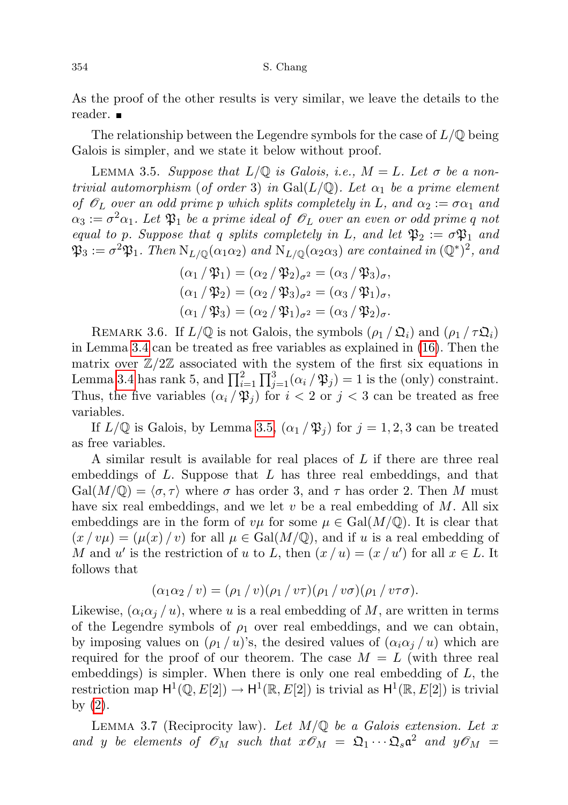As the proof of the other results is very similar, we leave the details to the reader.

The relationship between the Legendre symbols for the case of  $L/\mathbb{Q}$  being Galois is simpler, and we state it below without proof.

<span id="page-9-1"></span>LEMMA 3.5. Suppose that  $L/\mathbb{Q}$  is Galois, i.e.,  $M = L$ . Let  $\sigma$  be a nontrivial automorphism (of order 3) in Gal( $L/\mathbb{Q}$ ). Let  $\alpha_1$  be a prime element of  $\mathscr{O}_L$  over an odd prime p which splits completely in L, and  $\alpha_2 := \sigma \alpha_1$  and  $\alpha_3 := \sigma^2 \alpha_1$ . Let  $\mathfrak{P}_1$  be a prime ideal of  $\mathscr{O}_L$  over an even or odd prime q not equal to p. Suppose that q splits completely in L, and let  $\mathfrak{P}_2 := \sigma \mathfrak{P}_1$  and  $\mathfrak{P}_3 := \sigma^2 \mathfrak{P}_1$ . Then  $N_{L/\mathbb{Q}}(\alpha_1 \alpha_2)$  and  $N_{L/\mathbb{Q}}(\alpha_2 \alpha_3)$  are contained in  $(\mathbb{Q}^*)^2$ , and

$$
(\alpha_1/\mathfrak{P}_1) = (\alpha_2/\mathfrak{P}_2)_{\sigma^2} = (\alpha_3/\mathfrak{P}_3)_{\sigma},
$$
  
\n
$$
(\alpha_1/\mathfrak{P}_2) = (\alpha_2/\mathfrak{P}_3)_{\sigma^2} = (\alpha_3/\mathfrak{P}_1)_{\sigma},
$$
  
\n
$$
(\alpha_1/\mathfrak{P}_3) = (\alpha_2/\mathfrak{P}_1)_{\sigma^2} = (\alpha_3/\mathfrak{P}_2)_{\sigma}.
$$

<span id="page-9-2"></span>REMARK 3.6. If  $L/\mathbb{Q}$  is not Galois, the symbols  $(\rho_1/\mathfrak{Q}_i)$  and  $(\rho_1/\tau\mathfrak{Q}_i)$ in Lemma [3.4](#page-8-0) can be treated as free variables as explained in [\(16\)](#page-8-1). Then the matrix over  $\mathbb{Z}/2\mathbb{Z}$  associated with the system of the first six equations in Lemma [3.4](#page-8-0) has rank 5, and  $\prod_{i=1}^{2} \prod_{j=1}^{3} (\alpha_i / \mathfrak{P}_j) = 1$  is the (only) constraint. Thus, the five variables  $(\alpha_i / \mathfrak{P}_j)$  for  $i < 2$  or  $j < 3$  can be treated as free variables.

If  $L/\mathbb{Q}$  is Galois, by Lemma [3.5,](#page-9-1)  $(\alpha_1/\mathfrak{P}_j)$  for  $j=1,2,3$  can be treated as free variables.

A similar result is available for real places of L if there are three real embeddings of  $L$ . Suppose that  $L$  has three real embeddings, and that  $Gal(M/\mathbb{Q}) = \langle \sigma, \tau \rangle$  where  $\sigma$  has order 3, and  $\tau$  has order 2. Then M must have six real embeddings, and we let v be a real embedding of  $M$ . All six embeddings are in the form of  $v\mu$  for some  $\mu \in \text{Gal}(M/\mathbb{Q})$ . It is clear that  $(x / v\mu) = (\mu(x) / v)$  for all  $\mu \in \text{Gal}(M/\mathbb{Q})$ , and if u is a real embedding of M and u' is the restriction of u to L, then  $(x/u) = (x/u')$  for all  $x \in L$ . It follows that

$$
(\alpha_1 \alpha_2 / v) = (\rho_1 / v)(\rho_1 / v\tau)(\rho_1 / v\sigma)(\rho_1 / v\tau\sigma).
$$

Likewise,  $(\alpha_i \alpha_j / u)$ , where u is a real embedding of M, are written in terms of the Legendre symbols of  $\rho_1$  over real embeddings, and we can obtain, by imposing values on  $(\rho_1 / u)$ 's, the desired values of  $(\alpha_i \alpha_j / u)$  which are required for the proof of our theorem. The case  $M = L$  (with three real embeddings) is simpler. When there is only one real embedding of  $L$ , the restriction map  $H^1(\mathbb{Q}, E[2]) \to H^1(\mathbb{R}, E[2])$  is trivial as  $H^1(\mathbb{R}, E[2])$  is trivial by [\(2\)](#page-2-0).

<span id="page-9-0"></span>LEMMA 3.7 (Reciprocity law). Let  $M/\mathbb{Q}$  be a Galois extension. Let x and y be elements of  $\mathcal{O}_M$  such that  $x\mathcal{O}_M = \mathfrak{Q}_1 \cdots \mathfrak{Q}_s \mathfrak{a}^2$  and  $y\mathcal{O}_M =$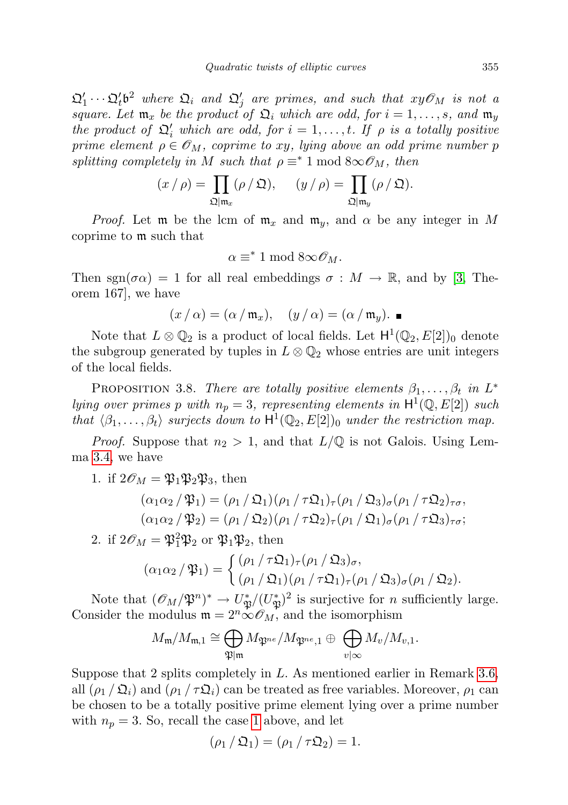$\mathfrak{Q}_1'\cdots\mathfrak{Q}_t'$ b<sup>2</sup> where  $\mathfrak{Q}_i$  and  $\mathfrak{Q}_j'$  are primes, and such that  $xy\mathscr{O}_M$  is not a square. Let  $\mathfrak{m}_x$  be the product of  $\mathfrak{Q}_i$  which are odd, for  $i = 1, \ldots, s$ , and  $\mathfrak{m}_y$ the product of  $\mathfrak{Q}'_i$  which are odd, for  $i = 1, \ldots, t$ . If  $\rho$  is a totally positive prime element  $\rho \in \mathscr{O}_M$ , coprime to xy, lying above an odd prime number p splitting completely in M such that  $\rho \equiv^* 1 \mod 8 \infty \mathcal{O}_M$ , then

$$
(x/\rho) = \prod_{\mathfrak{Q}|\mathfrak{m}_x} (\rho/\mathfrak{Q}), \quad (y/\rho) = \prod_{\mathfrak{Q}|\mathfrak{m}_y} (\rho/\mathfrak{Q}).
$$

*Proof.* Let m be the lcm of  $m_x$  and  $m_y$ , and  $\alpha$  be any integer in M coprime to m such that

$$
\alpha \equiv^* 1 \bmod 8 \infty \mathscr{O}_M.
$$

Then sgn( $\sigma \alpha$ ) = 1 for all real embeddings  $\sigma : M \to \mathbb{R}$ , and by [\[3,](#page-21-3) Theorem 167], we have

$$
(x / \alpha) = (\alpha / \mathfrak{m}_x), \quad (y / \alpha) = (\alpha / \mathfrak{m}_y).
$$

Note that  $L \otimes \mathbb{Q}_2$  is a product of local fields. Let  $\mathsf{H}^1(\mathbb{Q}_2, E[2])_0$  denote the subgroup generated by tuples in  $L \otimes \mathbb{Q}_2$  whose entries are unit integers of the local fields.

PROPOSITION 3.8. There are totally positive elements  $\beta_1, \ldots, \beta_t$  in  $L^*$ lying over primes p with  $n_p = 3$ , representing elements in  $H^1(\mathbb{Q}, E[2])$  such that  $\langle \beta_1, \ldots, \beta_t \rangle$  surjects down to  $H^1(\mathbb{Q}_2, E[2])_0$  under the restriction map.

*Proof.* Suppose that  $n_2 > 1$ , and that  $L/\mathbb{Q}$  is not Galois. Using Lemma [3.4,](#page-8-0) we have

<span id="page-10-0"></span>1. if  $2\mathscr{O}_M = \mathfrak{B}_1 \mathfrak{B}_2 \mathfrak{B}_3$ , then

$$
(\alpha_1\alpha_2/\mathfrak{P}_1) = (\rho_1/\mathfrak{Q}_1)(\rho_1/\tau\mathfrak{Q}_1)_\tau(\rho_1/\mathfrak{Q}_3)_\sigma(\rho_1/\tau\mathfrak{Q}_2)_{\tau\sigma},
$$
  

$$
(\alpha_1\alpha_2/\mathfrak{P}_2) = (\rho_1/\mathfrak{Q}_2)(\rho_1/\tau\mathfrak{Q}_2)_\tau(\rho_1/\mathfrak{Q}_1)_\sigma(\rho_1/\tau\mathfrak{Q}_3)_{\tau\sigma};
$$

2. if  $2\mathscr{O}_M = \mathfrak{P}_1^2 \mathfrak{P}_2$  or  $\mathfrak{P}_1 \mathfrak{P}_2$ , then

$$
(\alpha_1\alpha_2/\mathfrak{P}_1)=\begin{cases}(\rho_1/\tau\mathfrak{Q}_1)_\tau(\rho_1/\mathfrak{Q}_3)_\sigma,\\(\rho_1/\mathfrak{Q}_1)(\rho_1/\tau\mathfrak{Q}_1)_\tau(\rho_1/\mathfrak{Q}_3)_\sigma(\rho_1/\mathfrak{Q}_2).\end{cases}
$$

Note that  $(\mathcal{O}_M/\mathfrak{P}^n)^* \to U^*_{\mathfrak{P}}/(U^*_{\mathfrak{P}})^2$  is surjective for *n* sufficiently large. Consider the modulus  $\mathfrak{m} = 2^n \infty \mathcal{O}_M$ , and the isomorphism

$$
M_{\mathfrak{m}}/M_{\mathfrak{m},1} \cong \bigoplus_{\mathfrak{P} \mid \mathfrak{m}} M_{\mathfrak{P}^{ne}}/M_{\mathfrak{P}^{ne},1} \oplus \bigoplus_{v \mid \infty} M_v/M_{v,1}.
$$

Suppose that 2 splits completely in L. As mentioned earlier in Remark [3.6,](#page-9-2) all  $(\rho_1/\mathfrak{Q}_i)$  and  $(\rho_1/\tau\mathfrak{Q}_i)$  can be treated as free variables. Moreover,  $\rho_1$  can be chosen to be a totally positive prime element lying over a prime number with  $n_p = 3$ . So, recall the case [1](#page-10-0) above, and let

$$
(\rho_1/\mathfrak{Q}_1)=(\rho_1/\tau\mathfrak{Q}_2)=1.
$$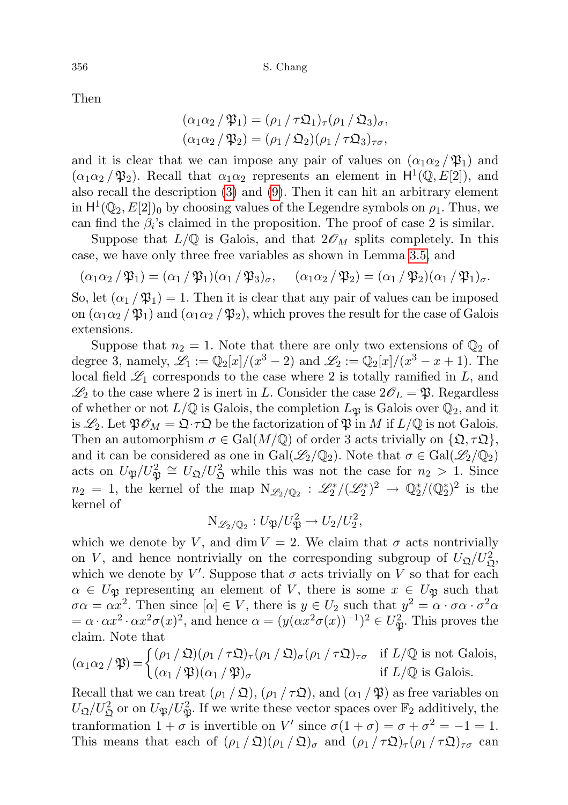Then

$$
(\alpha_1 \alpha_2 / \mathfrak{P}_1) = (\rho_1 / \tau \mathfrak{Q}_1)_{\tau} (\rho_1 / \mathfrak{Q}_3)_{\sigma},
$$
  

$$
(\alpha_1 \alpha_2 / \mathfrak{P}_2) = (\rho_1 / \mathfrak{Q}_2) (\rho_1 / \tau \mathfrak{Q}_3)_{\tau \sigma},
$$

and it is clear that we can impose any pair of values on  $(\alpha_1 \alpha_2 / \mathfrak{B}_1)$  and  $(\alpha_1 \alpha_2 / \mathfrak{P}_2)$ . Recall that  $\alpha_1 \alpha_2$  represents an element in  $\mathsf{H}^1(\mathbb{Q}, E[2])$ , and also recall the description [\(3\)](#page-2-3) and [\(9\)](#page-3-0). Then it can hit an arbitrary element in  $H^1(\mathbb{Q}_2, E[2])_0$  by choosing values of the Legendre symbols on  $\rho_1$ . Thus, we can find the  $\beta_i$ 's claimed in the proposition. The proof of case 2 is similar.

Suppose that  $L/\mathbb{Q}$  is Galois, and that  $2\mathcal{O}_M$  splits completely. In this case, we have only three free variables as shown in Lemma [3.5,](#page-9-1) and

$$
(\alpha_1\alpha_2/\mathfrak{P}_1)=(\alpha_1/\mathfrak{P}_1)(\alpha_1/\mathfrak{P}_3)_{\sigma}, \quad (\alpha_1\alpha_2/\mathfrak{P}_2)=(\alpha_1/\mathfrak{P}_2)(\alpha_1/\mathfrak{P}_1)_{\sigma}.
$$

So, let  $(\alpha_1 / \mathfrak{P}_1) = 1$ . Then it is clear that any pair of values can be imposed on  $(\alpha_1 \alpha_2 / \mathfrak{P}_1)$  and  $(\alpha_1 \alpha_2 / \mathfrak{P}_2)$ , which proves the result for the case of Galois extensions.

Suppose that  $n_2 = 1$ . Note that there are only two extensions of  $\mathbb{Q}_2$  of degree 3, namely,  $\mathscr{L}_1 := \mathbb{Q}_2[x]/(x^3 - 2)$  and  $\mathscr{L}_2 := \mathbb{Q}_2[x]/(x^3 - x + 1)$ . The local field  $\mathscr{L}_1$  corresponds to the case where 2 is totally ramified in  $L$ , and  $\mathcal{L}_2$  to the case where 2 is inert in L. Consider the case  $2\mathcal{O}_L = \mathfrak{P}$ . Regardless of whether or not  $L/\mathbb{Q}$  is Galois, the completion  $L_{\mathfrak{P}}$  is Galois over  $\mathbb{Q}_2$ , and it is  $\mathscr{L}_2$ . Let  $\mathfrak{P}\mathscr{O}_M = \mathfrak{Q}\cdot\tau\mathfrak{Q}$  be the factorization of  $\mathfrak{P}$  in M if  $L/\mathbb{Q}$  is not Galois. Then an automorphism  $\sigma \in \text{Gal}(M/\mathbb{Q})$  of order 3 acts trivially on  $\{\mathfrak{Q}, \tau \mathfrak{Q}\},$ and it can be considered as one in Gal( $\mathscr{L}_2/\mathbb{Q}_2$ ). Note that  $\sigma \in \text{Gal}(\mathscr{L}_2/\mathbb{Q}_2)$ acts on  $U_{\mathfrak{P}}/U_{\mathfrak{P}}^2 \cong U_{\mathfrak{Q}}/U_{\mathfrak{Q}}^2$  while this was not the case for  $n_2 > 1$ . Since  $n_2 = 1$ , the kernel of the map  $N_{\mathscr{L}_2/\mathbb{Q}_2} : \mathscr{L}_2^*/(\mathscr{L}_2^*)^2 \to \mathbb{Q}_2^*/(\mathbb{Q}_2^*)^2$  is the kernel of

$$
N_{\mathscr{L}_2/\mathbb{Q}_2}: U_{\mathfrak{P}}/U_{\mathfrak{P}}^2 \to U_2/U_2^2,
$$

which we denote by V, and dim  $V = 2$ . We claim that  $\sigma$  acts nontrivially on V, and hence nontrivially on the corresponding subgroup of  $U_{\mathfrak{Q}}/U_{\mathfrak{Q}}^2$ , which we denote by  $V'$ . Suppose that  $\sigma$  acts trivially on V so that for each  $\alpha \in U_{\mathfrak{B}}$  representing an element of V, there is some  $x \in U_{\mathfrak{B}}$  such that  $\sigma \alpha = \alpha x^2$ . Then since  $[\alpha] \in V$ , there is  $y \in U_2$  such that  $y^2 = \alpha \cdot \sigma \alpha \cdot \sigma^2 \alpha$  $= \alpha \cdot \alpha x^2 \cdot \alpha x^2 \sigma(x)^2$ , and hence  $\alpha = (y(\alpha x^2 \sigma(x))^{-1})^2 \in U_{\mathfrak{P}}^2$ . This proves the claim. Note that

$$
(\alpha_1 \alpha_2 / \mathfrak{P}) = \begin{cases} (\rho_1 / \mathfrak{Q}) (\rho_1 / \tau \mathfrak{Q})_\tau (\rho_1 / \mathfrak{Q})_\sigma (\rho_1 / \tau \mathfrak{Q})_{\tau\sigma} & \text{if } L/\mathbb{Q} \text{ is not Galois,} \\ (\alpha_1 / \mathfrak{P}) (\alpha_1 / \mathfrak{P})_\sigma & \text{if } L/\mathbb{Q} \text{ is Galois.} \end{cases}
$$

Recall that we can treat  $(\rho_1/\mathfrak{Q}), (\rho_1/\tau \mathfrak{Q}),$  and  $(\alpha_1/\mathfrak{P})$  as free variables on  $U_{\mathfrak{Q}}/U_{\mathfrak{Q}}^2$  or on  $U_{\mathfrak{P}}/U_{\mathfrak{P}}^2$ . If we write these vector spaces over  $\mathbb{F}_2$  additively, the tranformation  $1 + \sigma$  is invertible on V' since  $\sigma(1 + \sigma) = \sigma + \sigma^2 = -1 = 1$ . This means that each of  $(\rho_1/\mathfrak{Q}) (\rho_1/\mathfrak{Q})_\sigma$  and  $(\rho_1/\tau \mathfrak{Q})_\tau (\rho_1/\tau \mathfrak{Q})_{\tau\sigma}$  can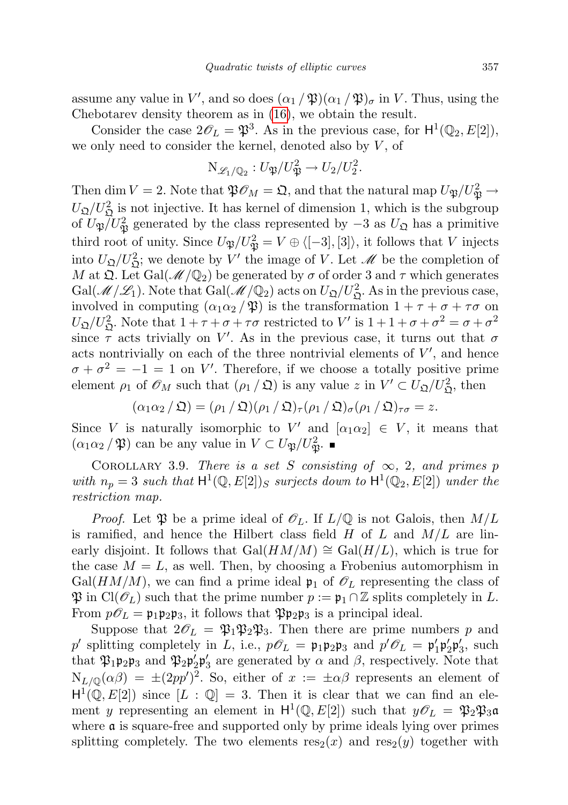assume any value in V', and so does  $(\alpha_1/\mathfrak{P})(\alpha_1/\mathfrak{P})_\sigma$  in V. Thus, using the Chebotarev density theorem as in [\(16\)](#page-8-1), we obtain the result.

Consider the case  $2\mathscr{O}_L = \mathfrak{P}^3$ . As in the previous case, for  $H^1(\mathbb{Q}_2, E[2])$ , we only need to consider the kernel, denoted also by  $V$ , of

$$
N_{\mathscr{L}_1/\mathbb{Q}_2}: U_{\mathfrak{P}}/U_{\mathfrak{P}}^2 \to U_2/U_2^2.
$$

Then dim  $V = 2$ . Note that  $\mathfrak{P} \mathscr{O}_M = \mathfrak{Q}$ , and that the natural map  $U_{\mathfrak{P}}/U_{\mathfrak{P}}^2 \to$  $U_{\mathfrak{Q}}/U_{\mathfrak{Q}}^2$  is not injective. It has kernel of dimension 1, which is the subgroup of  $U_{\mathfrak{P}}\overline{)}U_{\mathfrak{P}}^2$  generated by the class represented by  $-3$  as  $U_{\mathfrak{Q}}$  has a primitive third root of unity. Since  $U_{\mathfrak{P}}/U_{\mathfrak{P}}^2 = V \oplus \langle [-3], [3] \rangle$ , it follows that V injects into  $U_{\mathfrak{Q}}/U_{\mathfrak{Q}}^2$ ; we denote by V' the image of V. Let  $\mathcal M$  be the completion of M at  $\mathfrak{Q}$ . Let Gal( $\mathcal{M}/\mathbb{Q}_2$ ) be generated by  $\sigma$  of order 3 and  $\tau$  which generates  $Gal(M/\mathcal{L}_1)$ . Note that  $Gal(M/\mathbb{Q}_2)$  acts on  $U_{\mathfrak{Q}}/U_{\mathfrak{Q}}^2$ . As in the previous case, involved in computing  $(\alpha_1\alpha_2/\mathfrak{P})$  is the transformation  $1+\tau+\sigma+\tau\sigma$  on  $U_{\mathfrak{Q}}/U_{\mathfrak{Q}}^2$ . Note that  $1+\tau+\sigma+\tau\sigma$  restricted to V' is  $1+1+\sigma+\sigma^2=\sigma+\sigma^2$ since  $\tilde{\tau}$  acts trivially on V'. As in the previous case, it turns out that  $\sigma$ acts nontrivially on each of the three nontrivial elements of  $V'$ , and hence  $\sigma + \sigma^2 = -1 = 1$  on V'. Therefore, if we choose a totally positive prime element  $\rho_1$  of  $\mathscr{O}_M$  such that  $(\rho_1/\mathfrak{Q})$  is any value z in  $V' \subset U_{\mathfrak{Q}}/U_{\mathfrak{Q}}^2$ , then

$$
(\alpha_1\alpha_2/\mathfrak{Q}) = (\rho_1/\mathfrak{Q})(\rho_1/\mathfrak{Q})_{\tau}(\rho_1/\mathfrak{Q})_{\sigma}(\rho_1/\mathfrak{Q})_{\tau\sigma} = z.
$$

Since V is naturally isomorphic to V' and  $[\alpha_1 \alpha_2] \in V$ , it means that  $(\alpha_1 \alpha_2 / \mathfrak{P})$  can be any value in  $V \subset U_{\mathfrak{P}}/U_{\mathfrak{P}}^2$ .

<span id="page-12-0"></span>COROLLARY 3.9. There is a set S consisting of  $\infty$ , 2, and primes p with  $n_p = 3$  such that  $H^1(\mathbb{Q}, E[2])_S$  surjects down to  $H^1(\mathbb{Q}_2, E[2])$  under the restriction map.

*Proof.* Let  $\mathfrak P$  be a prime ideal of  $\mathcal O_L$ . If  $L/\mathbb Q$  is not Galois, then  $M/L$ is ramified, and hence the Hilbert class field  $H$  of  $L$  and  $M/L$  are linearly disjoint. It follows that  $Gal(HM/M) \cong Gal(H/L)$ , which is true for the case  $M = L$ , as well. Then, by choosing a Frobenius automorphism in  $Gal(HM/M)$ , we can find a prime ideal  $\mathfrak{p}_1$  of  $\mathcal{O}_L$  representing the class of  $\mathfrak{P}$  in  $\text{Cl}(\mathscr{O}_L)$  such that the prime number  $p := \mathfrak{p}_1 \cap \mathbb{Z}$  splits completely in L. From  $p\mathscr{O}_L = \mathfrak{p}_1 \mathfrak{p}_2 \mathfrak{p}_3$ , it follows that  $\mathfrak{P}_2 \mathfrak{p}_3$  is a principal ideal.

Suppose that  $2\mathscr{O}_L = \mathfrak{P}_1 \mathfrak{P}_2 \mathfrak{P}_3$ . Then there are prime numbers p and p' splitting completely in L, i.e.,  $p\mathscr{O}_L = \mathfrak{p}_1 \mathfrak{p}_2 \mathfrak{p}_3$  and  $p'\mathscr{O}_L = \mathfrak{p}'_1 \mathfrak{p}'_2 \mathfrak{p}'_3$ , such that  $\mathfrak{P}_1 \mathfrak{p}_2 \mathfrak{p}_3$  and  $\mathfrak{P}_2 \mathfrak{p}_3'$  are generated by  $\alpha$  and  $\beta$ , respectively. Note that  $N_{L/\mathbb{Q}}(\alpha\beta) = \pm (2pp')^2$ . So, either of  $x := \pm \alpha\beta$  represents an element of  $H^1(\mathbb{Q}, E[2])$  since  $[L : \mathbb{Q}] = 3$ . Then it is clear that we can find an element y representing an element in  $H^1(\mathbb{Q}, E[2])$  such that  $y\mathscr{O}_L = \mathfrak{P}_2 \mathfrak{P}_3 \mathfrak{a}$ where  $\alpha$  is square-free and supported only by prime ideals lying over primes splitting completely. The two elements  $res_2(x)$  and  $res_2(y)$  together with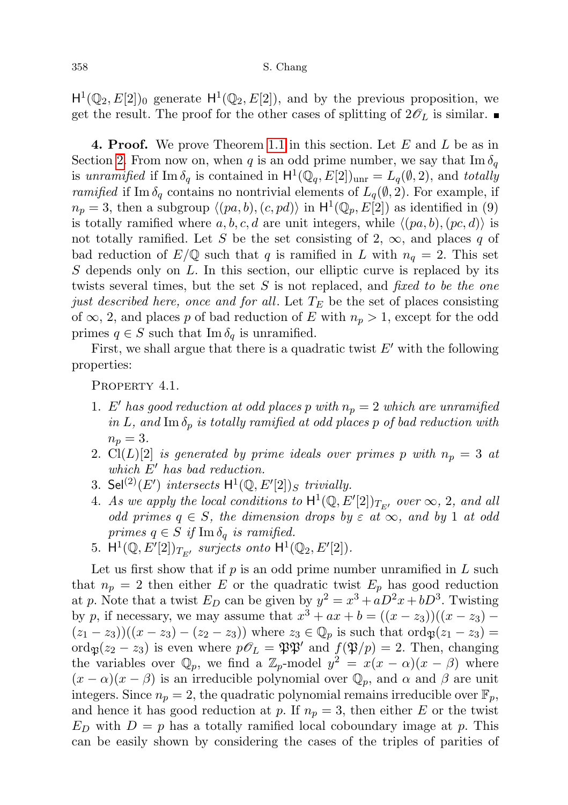$H^1(\mathbb{Q}_2, E[2])_0$  generate  $H^1(\mathbb{Q}_2, E[2])$ , and by the previous proposition, we get the result. The proof for the other cases of splitting of  $2\mathcal{O}_L$  is similar.

<span id="page-13-0"></span>**4. Proof.** We prove Theorem [1.1](#page-0-0) in this section. Let  $E$  and  $L$  be as in Section [2.](#page-1-0) From now on, when q is an odd prime number, we say that  $\text{Im }\delta_q$ is unramified if Im  $\delta_q$  is contained in  $H^1(\mathbb{Q}_q, E[2])_{\text{unr}} = L_q(\emptyset, 2)$ , and totally ramified if Im  $\delta_q$  contains no nontrivial elements of  $L_q(\emptyset, 2)$ . For example, if  $n_p = 3$ , then a subgroup  $\langle (pa, b), (c, pd) \rangle$  in  $\mathsf{H}^1(\mathbb{Q}_p, E[2])$  as identified in (9) is totally ramified where  $a, b, c, d$  are unit integers, while  $\langle (pa, b), (pc, d) \rangle$  is not totally ramified. Let S be the set consisting of 2,  $\infty$ , and places q of bad reduction of  $E/\mathbb{Q}$  such that q is ramified in L with  $n_q = 2$ . This set S depends only on  $L$ . In this section, our elliptic curve is replaced by its twists several times, but the set  $S$  is not replaced, and *fixed to be the one* just described here, once and for all. Let  $T_E$  be the set of places consisting of  $\infty$ , 2, and places p of bad reduction of E with  $n_p > 1$ , except for the odd primes  $q \in S$  such that Im  $\delta_q$  is unramified.

First, we shall argue that there is a quadratic twist  $E'$  with the following properties:

<span id="page-13-1"></span>PROPERTY 4.1.

- 1. E' has good reduction at odd places p with  $n_p = 2$  which are unramified in L, and Im  $\delta_p$  is totally ramified at odd places p of bad reduction with  $n_p = 3$ .
- 2. Cl(L)[2] is generated by prime ideals over primes p with  $n_p = 3$  at which  $E'$  has bad reduction.
- 3. Sel $^{(2)}(E')$  intersects  $H^1(\mathbb{Q}, E'[2])_S$  trivially.
- 4. As we apply the local conditions to  $\mathsf{H}^1(\mathbb{Q}, E'[2])_{T_{E'}}$  over  $\infty$ , 2, and all odd primes  $q \in S$ , the dimension drops by  $\varepsilon$  at  $\infty$ , and by 1 at odd primes  $q \in S$  if Im  $\delta_q$  is ramified.
- 5.  $H^1(\mathbb{Q}, E'[2])_{T_{E'}}$  surjects onto  $H^1(\mathbb{Q}_2, E'[2])$ .

Let us first show that if  $p$  is an odd prime number unramified in  $L$  such that  $n_p = 2$  then either E or the quadratic twist  $E_p$  has good reduction at p. Note that a twist  $E_D$  can be given by  $y^2 = x^3 + aD^2x + bD^3$ . Twisting by p, if necessary, we may assume that  $x^3 + ax + b = ((x - z_3))((x - z_3) (z_1 - z_3)((x - z_3) - (z_2 - z_3))$  where  $z_3 \in \mathbb{Q}_p$  is such that  $\text{ord}_{\mathfrak{B}}(z_1 - z_3) =$ ord $\mathfrak{g}(z_2 - z_3)$  is even where  $p\mathscr{O}_L = \mathfrak{P}\mathfrak{P}'$  and  $f(\mathfrak{P}/p) = 2$ . Then, changing the variables over  $\mathbb{Q}_p$ , we find a  $\mathbb{Z}_p$ -model  $y^2 = x(x - \alpha)(x - \beta)$  where  $(x - \alpha)(x - \beta)$  is an irreducible polynomial over  $\mathbb{Q}_p$ , and  $\alpha$  and  $\beta$  are unit integers. Since  $n_p = 2$ , the quadratic polynomial remains irreducible over  $\mathbb{F}_p$ , and hence it has good reduction at p. If  $n_p = 3$ , then either E or the twist  $E_D$  with  $D = p$  has a totally ramified local coboundary image at p. This can be easily shown by considering the cases of the triples of parities of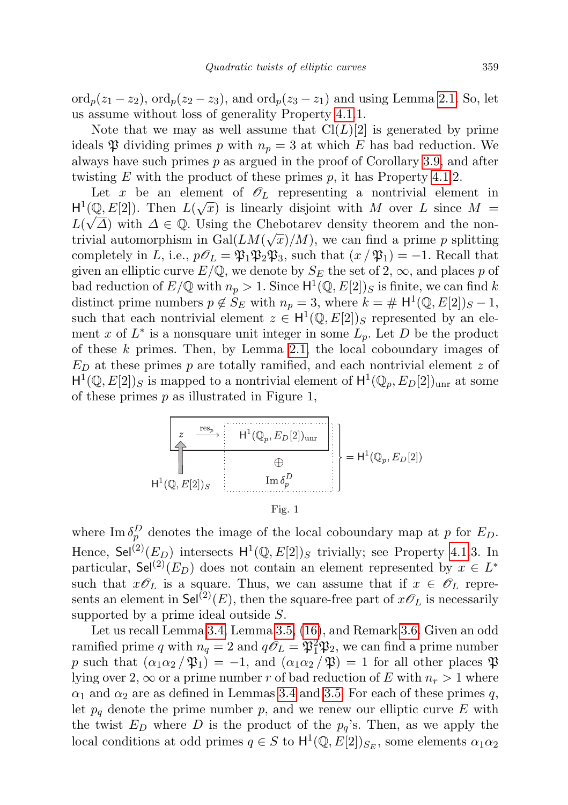$\text{ord}_p(z_1 - z_2)$ ,  $\text{ord}_p(z_2 - z_3)$ , and  $\text{ord}_p(z_3 - z_1)$  and using Lemma [2.1.](#page-4-3) So, let us assume without loss of generality Property [4.1.](#page-13-1)1.

Note that we may as well assume that  $Cl(L)[2]$  is generated by prime ideals  $\mathfrak P$  dividing primes p with  $n_p = 3$  at which E has bad reduction. We always have such primes  $p$  as argued in the proof of Corollary [3.9,](#page-12-0) and after twisting  $E$  with the product of these primes  $p$ , it has Property [4.1.](#page-13-1)2.

Let x be an element of  $\mathscr{O}_L$  representing a nontrivial element in  $H^1(\mathbb{Q}, E[2])$ . Then  $L(\sqrt{x})$  is linearly disjoint with M over L since  $M =$  $L(\sqrt{\Delta})$  with  $\Delta \in \mathbb{Q}$ . Using the Chebotarev density theorem and the nontrivial automorphism in  $Gal(LM(\sqrt{x})/M)$ , we can find a prime p splitting completely in L, i.e.,  $p\mathscr{O}_L = \mathfrak{P}_1 \mathfrak{P}_2 \mathfrak{P}_3$ , such that  $(x / \mathfrak{P}_1) = -1$ . Recall that given an elliptic curve  $E/\mathbb{Q}$ , we denote by  $S_E$  the set of 2,  $\infty$ , and places p of bad reduction of  $E/\mathbb{Q}$  with  $n_p > 1$ . Since  $H^1(\mathbb{Q}, E[2])_S$  is finite, we can find k distinct prime numbers  $p \notin S_E$  with  $n_p = 3$ , where  $k = # \mathsf{H}^1(\mathbb{Q}, E[2])_S - 1$ , such that each nontrivial element  $z \in H^1(\mathbb{Q}, E[2])$  represented by an element x of  $L^*$  is a nonsquare unit integer in some  $L_p$ . Let D be the product of these  $k$  primes. Then, by Lemma [2.1,](#page-4-3) the local coboundary images of  $E_D$  at these primes p are totally ramified, and each nontrivial element z of  $H^1(\mathbb{Q}, E[2])_S$  is mapped to a nontrivial element of  $H^1(\mathbb{Q}_p, E_D[2])_{unr}$  at some of these primes  $p$  as illustrated in Figure 1,





where Im  $\delta_p^D$  denotes the image of the local coboundary map at p for  $E_D$ . Hence,  $\mathsf{Sel}^{(2)}(E_D)$  intersects  $\mathsf{H}^1(\mathbb{Q}, E[2])_S$  trivially; see Property [4.1.](#page-13-1)3. In particular,  $\mathsf{Sel}^{(2)}(E_D)$  does not contain an element represented by  $x \in L^*$ such that  $x\mathcal{O}_L$  is a square. Thus, we can assume that if  $x \in \mathcal{O}_L$  represents an element in  $\mathsf{Sel}^{(2)}(E)$ , then the square-free part of  $x\mathcal{O}_L$  is necessarily supported by a prime ideal outside  $S$ .

Let us recall Lemma [3.4,](#page-8-0) Lemma [3.5,](#page-9-1) [\(16\)](#page-8-1), and Remark [3.6.](#page-9-2) Given an odd ramified prime q with  $n_q = 2$  and  $q\mathcal{O}_L = \mathfrak{P}_1^2 \mathfrak{P}_2$ , we can find a prime number p such that  $(\alpha_1\alpha_2/\mathfrak{P}_1) = -1$ , and  $(\alpha_1\alpha_2/\mathfrak{P}) = 1$  for all other places  $\mathfrak{P}$ lying over 2,  $\infty$  or a prime number r of bad reduction of E with  $n_r > 1$  where  $\alpha_1$  and  $\alpha_2$  are as defined in Lemmas [3.4](#page-8-0) and [3.5.](#page-9-1) For each of these primes q, let  $p_q$  denote the prime number p, and we renew our elliptic curve E with the twist  $E_D$  where D is the product of the  $p_q$ 's. Then, as we apply the local conditions at odd primes  $q \in S$  to  $H^1(\mathbb{Q}, E[2])_{S_E}$ , some elements  $\alpha_1 \alpha_2$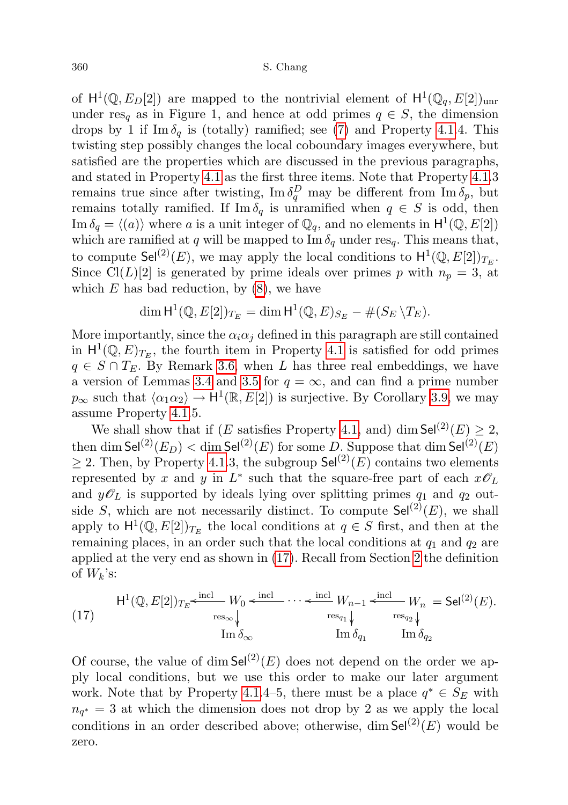of  $H^1(\mathbb{Q}, E_D[2])$  are mapped to the nontrivial element of  $H^1(\mathbb{Q}_q, E[2])$ <sub>unr</sub> under res<sub>q</sub> as in Figure 1, and hence at odd primes  $q \in S$ , the dimension drops by 1 if Im  $\delta_q$  is (totally) ramified; see [\(7\)](#page-3-1) and Property [4.1.](#page-13-1)4. This twisting step possibly changes the local coboundary images everywhere, but satisfied are the properties which are discussed in the previous paragraphs, and stated in Property [4.1](#page-13-1) as the first three items. Note that Property [4.1.](#page-13-1)3 remains true since after twisting,  $\text{Im } \delta_q^D$  may be different from  $\text{Im } \delta_p$ , but remains totally ramified. If Im  $\delta_q$  is unramified when  $q \in S$  is odd, then Im  $\delta_q = \langle (a) \rangle$  where a is a unit integer of  $\mathbb{Q}_q$ , and no elements in  $H^1(\mathbb{Q}, E[2])$ which are ramified at q will be mapped to Im  $\delta_q$  under res<sub>q</sub>. This means that, to compute  $\mathsf{Sel}^{(2)}(E)$ , we may apply the local conditions to  $\mathsf{H}^1(\mathbb{Q}, E[2])_{T_E}$ . Since Cl(L)[2] is generated by prime ideals over primes p with  $n_p = 3$ , at which  $E$  has bad reduction, by  $(8)$ , we have

$$
\dim \mathsf{H}^1(\mathbb{Q}, E[2])_{T_E} = \dim \mathsf{H}^1(\mathbb{Q}, E)_{S_E} - \#(S_E \setminus T_E).
$$

More importantly, since the  $\alpha_i \alpha_j$  defined in this paragraph are still contained in  $H^1(\mathbb{Q}, E)_{T_E}$ , the fourth item in Property [4.1](#page-13-1) is satisfied for odd primes  $q \in S \cap T_E$ . By Remark [3.6,](#page-9-2) when L has three real embeddings, we have a version of Lemmas [3.4](#page-8-0) and [3.5](#page-9-1) for  $q = \infty$ , and can find a prime number  $p_{\infty}$  such that  $\langle \alpha_1 \alpha_2 \rangle \to H^1(\mathbb{R}, E[2])$  is surjective. By Corollary [3.9,](#page-12-0) we may assume Property [4.1.](#page-13-1)5.

We shall show that if (E satisfies Property [4.1,](#page-13-1) and) dim  $\mathsf{Sel}^{(2)}(E) \geq 2$ , then dim  $\mathsf{Sel}^{(2)}(E_D) < \dim \mathsf{Sel}^{(2)}(E)$  for some D. Suppose that  $\dim \mathsf{Sel}^{(2)}(E)$  $\geq$  2. Then, by Property [4.1.](#page-13-1)3, the subgroup Sel<sup>(2)</sup>(E) contains two elements represented by x and y in  $L^*$  such that the square-free part of each  $x\mathcal{O}_L$ and  $y\mathscr{O}_L$  is supported by ideals lying over splitting primes  $q_1$  and  $q_2$  outside S, which are not necessarily distinct. To compute  $\mathsf{Sel}^{(2)}(E)$ , we shall apply to  $H^1(\mathbb{Q}, E[2])_{T_E}$  the local conditions at  $q \in S$  first, and then at the remaining places, in an order such that the local conditions at  $q_1$  and  $q_2$  are applied at the very end as shown in [\(17\)](#page-15-0). Recall from Section [2](#page-1-0) the definition of  $W_k$ 's:

<span id="page-15-0"></span>(17) 
$$
H^{1}(\mathbb{Q}, E[2])_{T_E} \xleftarrow{\text{incl}} W_0 \xleftarrow{\text{incl}} \cdots \xleftarrow{\text{incl}} W_{n-1} \xleftarrow{\text{incl}} W_n = \text{Sel}^{(2)}(E).
$$
\n
$$
\text{Im} \delta_{\infty} \qquad \qquad \text{Im} \delta_{q_1} \qquad \text{Im} \delta_{q_2}
$$

Of course, the value of dim  $\mathsf{Sel}^{(2)}(E)$  does not depend on the order we apply local conditions, but we use this order to make our later argument work. Note that by Property [4.1.](#page-13-1)4–5, there must be a place  $q^* \in S_E$  with  $n_{q^*} = 3$  at which the dimension does not drop by 2 as we apply the local conditions in an order described above; otherwise, dim  $\mathsf{Sel}^{(2)}(E)$  would be zero.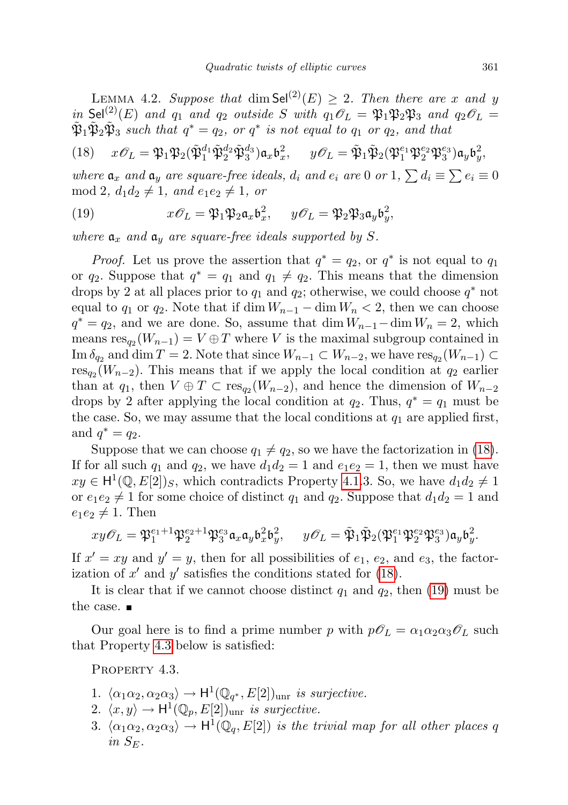<span id="page-16-3"></span>LEMMA 4.2. Suppose that dim Sel<sup>(2)</sup>(E)  $\geq$  2. Then there are x and y in Sel<sup>(2)</sup>(E) and  $q_1$  and  $q_2$  outside S with  $q_1\mathscr{O}_L = \mathfrak{P}_1\mathfrak{P}_2\mathfrak{P}_3$  and  $q_2\mathscr{O}_L =$  $\tilde{\mathfrak{P}}_1 \tilde{\mathfrak{P}}_2 \tilde{\mathfrak{P}}_3$  such that  $q^* = q_2$ , or  $q^*$  is not equal to  $q_1$  or  $q_2$ , and that

<span id="page-16-0"></span>(18) 
$$
x\mathscr{O}_L = \mathfrak{P}_1 \mathfrak{P}_2(\tilde{\mathfrak{P}}_1^{d_1} \tilde{\mathfrak{P}}_2^{d_2} \tilde{\mathfrak{P}}_3^{d_3}) \mathfrak{a}_x \mathfrak{b}_x^2, \qquad y\mathscr{O}_L = \tilde{\mathfrak{P}}_1 \tilde{\mathfrak{P}}_2(\mathfrak{P}_1^{e_1} \mathfrak{P}_2^{e_2} \mathfrak{P}_3^{e_3}) \mathfrak{a}_y \mathfrak{b}_y^2,
$$

where  $\mathfrak{a}_x$  and  $\mathfrak{a}_y$  are square-free ideals,  $d_i$  and  $e_i$  are 0 or 1,  $\sum d_i \equiv \sum e_i \equiv 0$ mod 2,  $d_1d_2 \neq 1$ , and  $e_1e_2 \neq 1$ , or

<span id="page-16-1"></span>(19) 
$$
x\mathscr{O}_L = \mathfrak{P}_1 \mathfrak{P}_2 \mathfrak{a}_x \mathfrak{b}_x^2, \quad y\mathscr{O}_L = \mathfrak{P}_2 \mathfrak{P}_3 \mathfrak{a}_y \mathfrak{b}_y^2,
$$

where  $a_x$  and  $a_y$  are square-free ideals supported by S.

*Proof.* Let us prove the assertion that  $q^* = q_2$ , or  $q^*$  is not equal to  $q_1$ or  $q_2$ . Suppose that  $q^* = q_1$  and  $q_1 \neq q_2$ . This means that the dimension drops by 2 at all places prior to  $q_1$  and  $q_2$ ; otherwise, we could choose  $q^*$  not equal to  $q_1$  or  $q_2$ . Note that if dim  $W_{n-1} - \dim W_n < 2$ , then we can choose  $q^* = q_2$ , and we are done. So, assume that dim  $W_{n-1}$  – dim  $W_n = 2$ , which means  $\operatorname{res}_{q_2}(W_{n-1}) = V \oplus T$  where V is the maximal subgroup contained in Im  $\delta_{q_2}$  and dim  $T = 2$ . Note that since  $W_{n-1} \subset W_{n-2}$ , we have  $res_{q_2}(W_{n-1}) \subset$  $res_{q_2}(W_{n-2})$ . This means that if we apply the local condition at  $q_2$  earlier than at  $q_1$ , then  $V \oplus T \subset \text{res}_{q_2}(W_{n-2})$ , and hence the dimension of  $W_{n-2}$ drops by 2 after applying the local condition at  $q_2$ . Thus,  $q^* = q_1$  must be the case. So, we may assume that the local conditions at  $q_1$  are applied first, and  $q^* = q_2$ .

Suppose that we can choose  $q_1 \neq q_2$ , so we have the factorization in [\(18\)](#page-16-0). If for all such  $q_1$  and  $q_2$ , we have  $d_1d_2 = 1$  and  $e_1e_2 = 1$ , then we must have  $xy \in H^1(\mathbb{Q}, E[2])_S$ , which contradicts Property [4.1.](#page-13-1)3. So, we have  $d_1 d_2 \neq 1$ or  $e_1e_2 \neq 1$  for some choice of distinct  $q_1$  and  $q_2$ . Suppose that  $d_1d_2 = 1$  and  $e_1e_2 \neq 1$ . Then

$$
xy\mathscr{O}_L = \mathfrak{P}_1^{e_1+1}\mathfrak{P}_2^{e_2+1}\mathfrak{P}_3^{e_3}\mathfrak{a}_x\mathfrak{a}_y\mathfrak{b}_x^2\mathfrak{b}_y^2, \quad y\mathscr{O}_L = \tilde{\mathfrak{P}}_1\tilde{\mathfrak{P}}_2(\mathfrak{P}_1^{e_1}\mathfrak{P}_2^{e_2}\mathfrak{P}_3^{e_3})\mathfrak{a}_y\mathfrak{b}_y^2.
$$

If  $x' = xy$  and  $y' = y$ , then for all possibilities of  $e_1$ ,  $e_2$ , and  $e_3$ , the factorization of  $x'$  and  $y'$  satisfies the conditions stated for [\(18\)](#page-16-0).

It is clear that if we cannot choose distinct  $q_1$  and  $q_2$ , then [\(19\)](#page-16-1) must be the case.  $\blacksquare$ 

Our goal here is to find a prime number p with  $p\mathscr{O}_L = \alpha_1 \alpha_2 \alpha_3 \mathscr{O}_L$  such that Property [4.3](#page-16-2) below is satisfied:

<span id="page-16-2"></span>PROPERTY 4.3.

- 1.  $\langle \alpha_1 \alpha_2, \alpha_2 \alpha_3 \rangle \rightarrow H^1(\mathbb{Q}_{q^*}, E[2])_{unr}$  is surjective.
- 2.  $\langle x, y \rangle \rightarrow H^1(\mathbb{Q}_p, E[2])$ <sub>unr</sub> is surjective.
- 3.  $\langle \alpha_1 \alpha_2, \alpha_2 \alpha_3 \rangle \rightarrow H^1(\mathbb{Q}_q, E[2])$  is the trivial map for all other places q in  $S_E$ .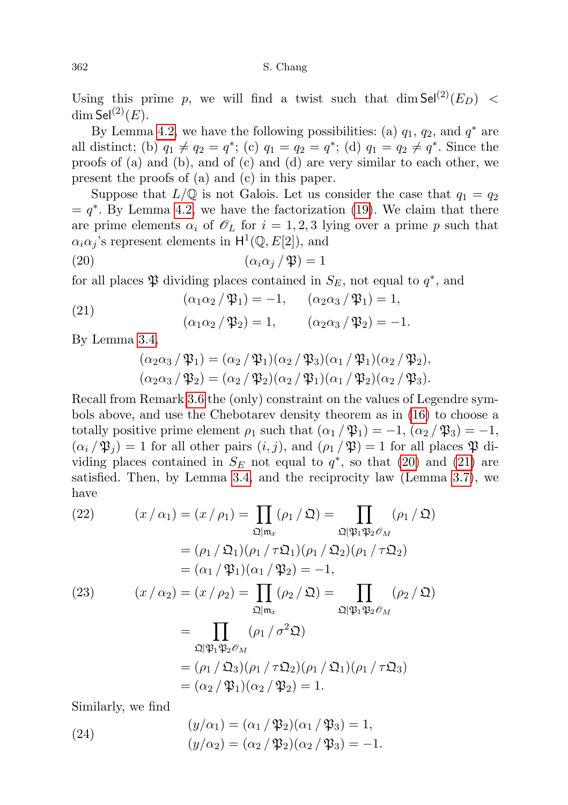#### 362 S. Chang

Using this prime p, we will find a twist such that dim  $\mathsf{Sel}^{(2)}(E_D)$  < dim Sel $^{(2)}(E)$ .

By Lemma [4.2,](#page-16-3) we have the following possibilities: (a)  $q_1$ ,  $q_2$ , and  $q^*$  are all distinct; (b)  $q_1 \neq q_2 = q^*$ ; (c)  $q_1 = q_2 = q^*$ ; (d)  $q_1 = q_2 \neq q^*$ . Since the proofs of (a) and (b), and of (c) and (d) are very similar to each other, we present the proofs of (a) and (c) in this paper.

Suppose that  $L/\mathbb{Q}$  is not Galois. Let us consider the case that  $q_1 = q_2$  $= q^*$ . By Lemma [4.2,](#page-16-3) we have the factorization [\(19\)](#page-16-1). We claim that there are prime elements  $\alpha_i$  of  $\mathscr{O}_L$  for  $i = 1, 2, 3$  lying over a prime p such that  $\alpha_i \alpha_j$ 's represent elements in  $H^1(\mathbb{Q}, E[2])$ , and

$$
(20) \qquad \qquad (\alpha_i \alpha_j / \mathfrak{P}) = 1
$$

for all places  $\mathfrak P$  dividing places contained in  $S_E$ , not equal to  $q^*$ , and

<span id="page-17-1"></span>(21) 
$$
(\alpha_1 \alpha_2 / \mathfrak{P}_1) = -1, \quad (\alpha_2 \alpha_3 / \mathfrak{P}_1) = 1,
$$

$$
(\alpha_1 \alpha_2 / \mathfrak{P}_2) = 1, \quad (\alpha_2 \alpha_3 / \mathfrak{P}_2) = -1.
$$

By Lemma [3.4,](#page-8-0)

<span id="page-17-0"></span>
$$
(\alpha_2\alpha_3/\mathfrak{P}_1) = (\alpha_2/\mathfrak{P}_1)(\alpha_2/\mathfrak{P}_3)(\alpha_1/\mathfrak{P}_1)(\alpha_2/\mathfrak{P}_2),
$$
  

$$
(\alpha_2\alpha_3/\mathfrak{P}_2) = (\alpha_2/\mathfrak{P}_2)(\alpha_2/\mathfrak{P}_1)(\alpha_1/\mathfrak{P}_2)(\alpha_2/\mathfrak{P}_3).
$$

Recall from Remark [3.6](#page-9-2) the (only) constraint on the values of Legendre symbols above, and use the Chebotarev density theorem as in [\(16\)](#page-8-1) to choose a totally positive prime element  $\rho_1$  such that  $(\alpha_1 / \mathfrak{P}_1) = -1$ ,  $(\alpha_2 / \mathfrak{P}_3) = -1$ ,  $(\alpha_i / \mathfrak{B}_i) = 1$  for all other pairs  $(i, j)$ , and  $(\rho_1 / \mathfrak{B}) = 1$  for all places  $\mathfrak{P}$  dividing places contained in  $S_E$  not equal to  $q^*$ , so that [\(20\)](#page-17-0) and [\(21\)](#page-17-1) are satisfied. Then, by Lemma [3.4,](#page-8-0) and the reciprocity law (Lemma [3.7\)](#page-9-0), we have

<span id="page-17-4"></span><span id="page-17-2"></span>(22) 
$$
(x/\alpha_1) = (x/\rho_1) = \prod_{\mathfrak{Q}|\mathfrak{m}_x} (\rho_1/\mathfrak{Q}) = \prod_{\mathfrak{Q}|\mathfrak{P}_1\mathfrak{P}_2\mathscr{O}_M} (\rho_1/\mathfrak{Q})
$$

$$
= (\rho_1/\mathfrak{Q}_1)(\rho_1/\tau\mathfrak{Q}_1)(\rho_1/\mathfrak{Q}_2)(\rho_1/\tau\mathfrak{Q}_2)
$$

$$
= (\alpha_1/\mathfrak{P}_1)(\alpha_1/\mathfrak{P}_2) = -1,
$$

$$
(23) 
$$
(x/\alpha_2) = (x/\rho_2) = \prod_{\mathfrak{Q}|\mathfrak{m}_x} (\rho_2/\mathfrak{Q}) = \prod_{\mathfrak{Q}|\mathfrak{P}_1\mathfrak{P}_2\mathscr{O}_M} (\rho_2/\mathfrak{Q})
$$

$$
= \prod_{\mathfrak{Q}|\mathfrak{P}_1\mathfrak{P}_2\mathscr{O}_M} (\rho_1/\sigma^2\mathfrak{Q})
$$

$$
= (\rho_1/\mathfrak{Q}_3)(\rho_1/\tau\mathfrak{Q}_2)(\rho_1/\mathfrak{Q}_1)(\rho_1/\tau\mathfrak{Q}_3)
$$

$$
= (\alpha_2/\mathfrak{P}_1)(\alpha_2/\mathfrak{P}_2) = 1.
$$
$$

Similarly, we find

<span id="page-17-3"></span>(24) 
$$
(y/\alpha_1) = (\alpha_1/\mathfrak{P}_2)(\alpha_1/\mathfrak{P}_3) = 1, (y/\alpha_2) = (\alpha_2/\mathfrak{P}_2)(\alpha_2/\mathfrak{P}_3) = -1.
$$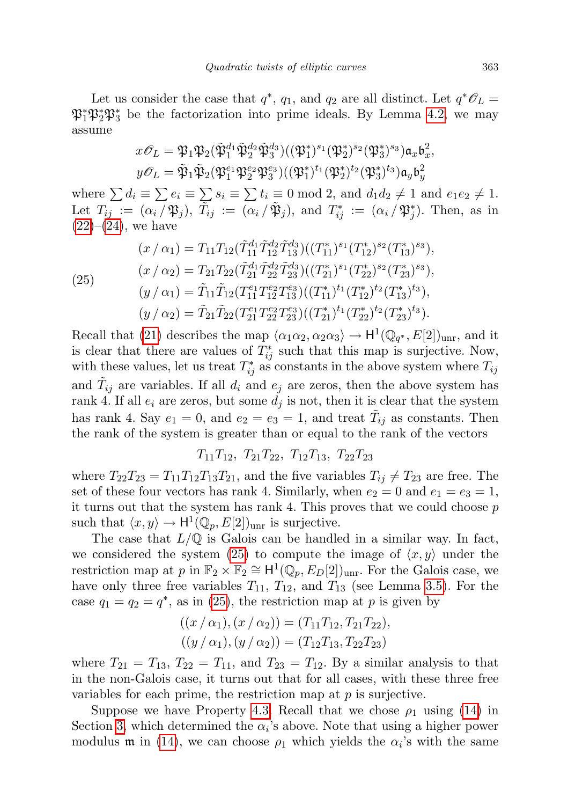Let us consider the case that  $q^*$ ,  $q_1$ , and  $q_2$  are all distinct. Let  $q^* \mathscr{O}_L =$  $\mathfrak{P}_1^*\mathfrak{P}_2^*\mathfrak{P}_3^*$  be the factorization into prime ideals. By Lemma [4.2,](#page-16-3) we may assume

$$
x\mathscr{O}_L = \mathfrak{P}_1 \mathfrak{P}_2(\tilde{\mathfrak{P}}_1^{d_1} \tilde{\mathfrak{P}}_2^{d_2} \tilde{\mathfrak{P}}_3^{d_3})((\mathfrak{P}_1^*)^{s_1} (\mathfrak{P}_2^*)^{s_2} (\mathfrak{P}_3^*)^{s_3}) \mathfrak{a}_x \mathfrak{b}_x^2, y\mathscr{O}_L = \tilde{\mathfrak{P}}_1 \tilde{\mathfrak{P}}_2 (\mathfrak{P}_1^{e_1} \mathfrak{P}_2^{e_2} \mathfrak{P}_3^{e_3})((\mathfrak{P}_1^*)^{t_1} (\mathfrak{P}_2^*)^{t_2} (\mathfrak{P}_3^*)^{t_3}) \mathfrak{a}_y \mathfrak{b}_y^2
$$

where  $\sum d_i \equiv \sum e_i \equiv \sum s_i \equiv \sum t_i \equiv 0 \mod 2$ , and  $d_1d_2 \neq 1$  and  $e_1e_2 \neq 1$ . Let  $T_{ij} := (\alpha_i/\mathfrak{P}_j)$ ,  $\tilde{T}_{ij} := (\alpha_i/\tilde{\mathfrak{P}}_j)$ , and  $T_{ij}^* := (\alpha_i/\mathfrak{P}_j^*)$ . Then, as in  $(22)–(24)$  $(22)–(24)$  $(22)–(24)$ , we have

<span id="page-18-0"></span>(25)  
\n
$$
(x / \alpha_1) = T_{11} T_{12} (\tilde{T}_{11}^{d_1} \tilde{T}_{12}^{d_2} \tilde{T}_{13}^{d_3}) ((T_{11}^*)^{s_1} (T_{12}^*)^{s_2} (T_{13}^*)^{s_3}),
$$
\n
$$
(x / \alpha_2) = T_{21} T_{22} (\tilde{T}_{21}^{d_1} \tilde{T}_{22}^{d_2} \tilde{T}_{23}^{d_3}) ((T_{21}^*)^{s_1} (T_{22}^*)^{s_2} (T_{23}^*)^{s_3}),
$$
\n
$$
(y / \alpha_1) = \tilde{T}_{11} \tilde{T}_{12} (T_{11}^{e_1} T_{12}^{e_2} T_{13}^{e_3}) ((T_{11}^*)^{t_1} (T_{12}^*)^{t_2} (T_{13}^*)^{t_3}),
$$
\n
$$
(y / \alpha_2) = \tilde{T}_{21} \tilde{T}_{22} (T_{21}^{e_1} T_{22}^{e_2} T_{23}^{e_3}) ((T_{21}^*)^{t_1} (T_{22}^*)^{t_2} (T_{23}^*)^{t_3}).
$$

Recall that [\(21\)](#page-17-1) describes the map  $\langle \alpha_1 \alpha_2, \alpha_2 \alpha_3 \rangle \to H^1(\mathbb{Q}_{q^*}, E[2])_{unr}$ , and it is clear that there are values of  $T_{ij}^*$  such that this map is surjective. Now, with these values, let us treat  $T_{ij}^*$  as constants in the above system where  $T_{ij}$ and  $\tilde{T}_{ij}$  are variables. If all  $d_i$  and  $e_j$  are zeros, then the above system has rank 4. If all  $e_i$  are zeros, but some  $d_i$  is not, then it is clear that the system has rank 4. Say  $e_1 = 0$ , and  $e_2 = e_3 = 1$ , and treat  $\tilde{T}_{ij}$  as constants. Then the rank of the system is greater than or equal to the rank of the vectors

## $T_{11}T_{12}$ ,  $T_{21}T_{22}$ ,  $T_{12}T_{13}$ ,  $T_{22}T_{23}$

where  $T_{22}T_{23} = T_{11}T_{12}T_{13}T_{21}$ , and the five variables  $T_{ij} \neq T_{23}$  are free. The set of these four vectors has rank 4. Similarly, when  $e_2 = 0$  and  $e_1 = e_3 = 1$ , it turns out that the system has rank 4. This proves that we could choose p such that  $\langle x, y \rangle \to \mathsf{H}^1(\mathbb{Q}_p, E[2])_{\text{unr}}$  is surjective.

The case that  $L/\mathbb{Q}$  is Galois can be handled in a similar way. In fact, we considered the system [\(25\)](#page-18-0) to compute the image of  $\langle x, y \rangle$  under the restriction map at p in  $\mathbb{F}_2 \times \mathbb{F}_2 \cong H^1(\mathbb{Q}_p, E_D[2])_{\text{unr}}$ . For the Galois case, we have only three free variables  $T_{11}$ ,  $T_{12}$ , and  $T_{13}$  (see Lemma [3.5\)](#page-9-1). For the case  $q_1 = q_2 = q^*$ , as in [\(25\)](#page-18-0), the restriction map at p is given by

$$
((x / \alpha_1), (x / \alpha_2)) = (T_{11}T_{12}, T_{21}T_{22}),
$$
  

$$
((y / \alpha_1), (y / \alpha_2)) = (T_{12}T_{13}, T_{22}T_{23})
$$

where  $T_{21} = T_{13}$ ,  $T_{22} = T_{11}$ , and  $T_{23} = T_{12}$ . By a similar analysis to that in the non-Galois case, it turns out that for all cases, with these three free variables for each prime, the restriction map at  $p$  is surjective.

Suppose we have Property [4.3.](#page-16-2) Recall that we chose  $\rho_1$  using [\(14\)](#page-7-2) in Section [3,](#page-5-0) which determined the  $\alpha_i$ 's above. Note that using a higher power modulus  $\mathfrak{m}$  in [\(14\)](#page-7-2), we can choose  $\rho_1$  which yields the  $\alpha_i$ 's with the same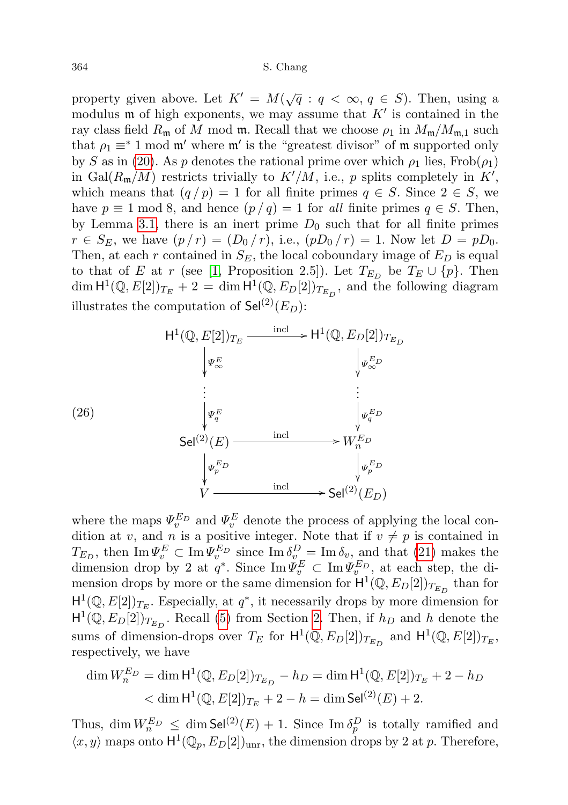property given above. Let  $K' = M(\sqrt{q} : q < \infty, q \in S)$ . Then, using a modulus  $m$  of high exponents, we may assume that  $K'$  is contained in the ray class field  $R_{\rm m}$  of M mod  $\mathfrak{m}$ . Recall that we choose  $\rho_1$  in  $M_{\rm m}/M_{\rm m,1}$  such that  $\rho_1 \equiv^* 1 \mod \mathfrak{m}'$  where  $\mathfrak{m}'$  is the "greatest divisor" of  $\mathfrak{m}$  supported only by S as in [\(20\)](#page-17-0). As p denotes the rational prime over which  $\rho_1$  lies, Frob $(\rho_1)$ in Gal $(R_m/M)$  restricts trivially to  $K'/M$ , i.e., p splits completely in  $K'$ , which means that  $(q/p) = 1$  for all finite primes  $q \in S$ . Since  $2 \in S$ , we have  $p \equiv 1 \mod 8$ , and hence  $\left(\frac{p}{q}\right) = 1$  for all finite primes  $q \in S$ . Then, by Lemma [3.1,](#page-6-0) there is an inert prime  $D_0$  such that for all finite primes  $r \in S_E$ , we have  $(p/r) = (D_0/r)$ , i.e.,  $(pD_0/r) = 1$ . Now let  $D = pD_0$ . Then, at each r contained in  $S_E$ , the local coboundary image of  $E_D$  is equal to that of E at r (see [\[1,](#page-21-0) Proposition 2.5]). Let  $T_{E_D}$  be  $T_E \cup \{p\}$ . Then  $\dim H^1(\mathbb{Q}, E[2])_{T_E} + 2 = \dim H^1(\mathbb{Q}, E_D[2])_{T_{E_D}}$ , and the following diagram illustrates the computation of  $\mathsf{Sel}^{(2)}(E_D)$ :

<span id="page-19-0"></span>

where the maps  $\Psi_v^{E_D}$  and  $\Psi_v^{E}$  denote the process of applying the local con $v^{E_D}$  and  $\Psi^E_v$ dition at v, and n is a positive integer. Note that if  $v \neq p$  is contained in  $T_{E_D}$ , then  $\text{Im}\Psi_v^E \subset \text{Im}\Psi_v^{E_D}$  since  $\text{Im}\delta_v^D = \text{Im}\delta_v$ , and that [\(21\)](#page-17-1) makes the dimension drop by 2 at  $q^*$ . Since  $\text{Im } \Psi_v^E \subset \text{Im } \Psi_v^{E_D}$ , at each step, the dimension drops by more or the same dimension for  $\mathsf{H}^1(\mathbb{Q}, E_D[2])_{T_{E_D}}$  than for  $H^1(\mathbb{Q}, E[2])_{T_E}$ . Especially, at  $q^*$ , it necessarily drops by more dimension for  $H^1(\mathbb{Q}, E_D[2])_{T_{E_D}}$ . Recall [\(5\)](#page-2-5) from Section [2.](#page-1-0) Then, if  $h_D$  and h denote the sums of dimension-drops over  $T_E$  for  $H^1(\mathbb{Q}, E_D[2])_{T_{E_D}}$  and  $H^1(\mathbb{Q}, E[2])_{T_E}$ , respectively, we have

$$
\dim W_n^{E_D} = \dim \mathsf{H}^1(\mathbb{Q}, E_D[2])_{T_{E_D}} - h_D = \dim \mathsf{H}^1(\mathbb{Q}, E[2])_{T_E} + 2 - h_D
$$
  

$$
< \dim \mathsf{H}^1(\mathbb{Q}, E[2])_{T_E} + 2 - h = \dim \mathsf{Sel}^{(2)}(E) + 2.
$$

Thus, dim  $W_n^{E_D} \leq \dim \mathsf{Sel}^{(2)}(E) + 1$ . Since Im  $\delta_p^D$  is totally ramified and  $\langle x, y \rangle$  maps onto  $H^1(\mathbb{Q}_p, E_D[2])_{unr}$ , the dimension drops by 2 at p. Therefore,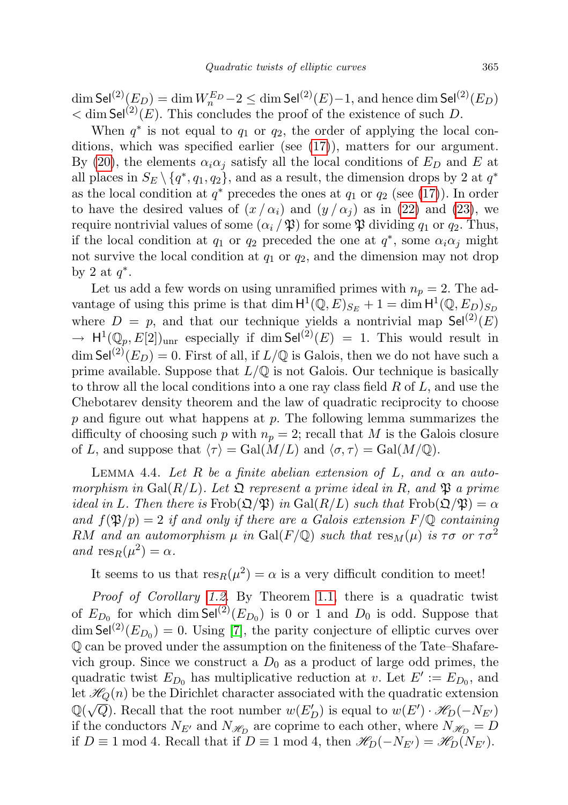$\dim \mathsf{Sel}^{(2)}(E_D) = \dim W_n^{E_D} - 2 \leq \dim \mathsf{Sel}^{(2)}(E) - 1$ , and hence  $\dim \mathsf{Sel}^{(2)}(E_D)$  $\langle \text{dim Sel}^{(2)}(E) \rangle$ . This concludes the proof of the existence of such D.

When  $q^*$  is not equal to  $q_1$  or  $q_2$ , the order of applying the local conditions, which was specified earlier (see [\(17\)](#page-15-0)), matters for our argument. By [\(20\)](#page-17-0), the elements  $\alpha_i \alpha_j$  satisfy all the local conditions of  $E_D$  and E at all places in  $S_E \setminus \{q^*, q_1, q_2\}$ , and as a result, the dimension drops by 2 at  $q^*$ as the local condition at  $q^*$  precedes the ones at  $q_1$  or  $q_2$  (see [\(17\)](#page-15-0)). In order to have the desired values of  $(x/\alpha_i)$  and  $(y/\alpha_j)$  as in [\(22\)](#page-17-2) and [\(23\)](#page-17-4), we require nontrivial values of some  $(\alpha_i / \mathfrak{P})$  for some  $\mathfrak{P}$  dividing  $q_1$  or  $q_2$ . Thus, if the local condition at  $q_1$  or  $q_2$  preceded the one at  $q^*$ , some  $\alpha_i \alpha_j$  might not survive the local condition at  $q_1$  or  $q_2$ , and the dimension may not drop by 2 at  $q^*$ .

Let us add a few words on using unramified primes with  $n_p = 2$ . The advantage of using this prime is that  $\dim \mathsf{H}^1(\mathbb{Q}, E)_{S_E} + 1 = \dim \mathsf{H}^1(\mathbb{Q}, E)_{S_D}$ where  $D = p$ , and that our technique yields a nontrivial map  $\mathsf{Sel}^{(2)}(E)$  $\rightarrow H^1(\mathbb{Q}_p, E[2])_{unr}$  especially if dim Sel<sup>(2)</sup>(E) = 1. This would result in  $\dim \mathsf{Sel}^{(2)}(E_D) = 0.$  First of all, if  $L/\mathbb{Q}$  is Galois, then we do not have such a prime available. Suppose that  $L/\mathbb{Q}$  is not Galois. Our technique is basically to throw all the local conditions into a one ray class field  $R$  of  $L$ , and use the Chebotarev density theorem and the law of quadratic reciprocity to choose  $p$  and figure out what happens at  $p$ . The following lemma summarizes the difficulty of choosing such p with  $n_p = 2$ ; recall that M is the Galois closure of L, and suppose that  $\langle \tau \rangle = \text{Gal}(M/L)$  and  $\langle \sigma, \tau \rangle = \text{Gal}(M/\mathbb{Q})$ .

LEMMA 4.4. Let R be a finite abelian extension of L, and  $\alpha$  an automorphism in  $Gal(R/L)$ . Let  $\mathfrak D$  represent a prime ideal in R, and  $\mathfrak P$  a prime ideal in L. Then there is  $\text{Frob}(\mathfrak{Q}/\mathfrak{P})$  in  $\text{Gal}(R/L)$  such that  $\text{Frob}(\mathfrak{Q}/\mathfrak{P}) = \alpha$ and  $f(\mathfrak{P}/p) = 2$  if and only if there are a Galois extension  $F/\mathbb{Q}$  containing RM and an automorphism  $\mu$  in Gal(F/Q) such that  $res_M(\mu)$  is  $\tau\sigma$  or  $\tau\sigma^2$ and  $\operatorname{res}_R(\mu^2) = \alpha$ .

It seems to us that  $res_R(\mu^2) = \alpha$  is a very difficult condition to meet!

Proof of Corollary [1.2.](#page-0-1) By Theorem [1.1,](#page-0-0) there is a quadratic twist of  $E_{D_0}$  for which dim  $\mathsf{Sel}^{(2)}(E_{D_0})$  is 0 or 1 and  $D_0$  is odd. Suppose that  $\dim \mathsf{Sel}^{(2)}(E_{D_0}) = 0.$  Using [\[7\]](#page-22-4), the parity conjecture of elliptic curves over Q can be proved under the assumption on the finiteness of the Tate–Shafarevich group. Since we construct a  $D_0$  as a product of large odd primes, the quadratic twist  $E_{D_0}$  has multiplicative reduction at v. Let  $E' := E_{D_0}$ , and let  $\mathcal{H}_Q(n)$  be the Dirichlet character associated with the quadratic extension  $\mathbb{Q}(\sqrt{Q})$ . Recall that the root number  $w(E'_D)$  is equal to  $w(E') \cdot \mathscr{H}_D(-N_{E'})$ if the conductors  $N_{E'}$  and  $N_{\mathscr{H}_{D}}$  are coprime to each other, where  $N_{\mathscr{H}_{D}} = D$ if  $D \equiv 1 \mod 4$ . Recall that if  $D \equiv 1 \mod 4$ , then  $\mathscr{H}_D(-N_{E'}) = \mathscr{H}_D(N_{E'})$ .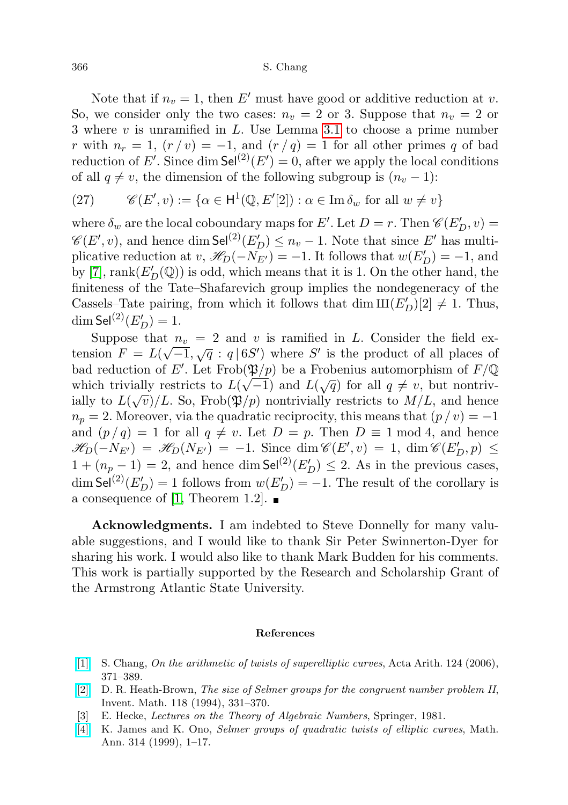#### 366 S. Chang

Note that if  $n_v = 1$ , then E' must have good or additive reduction at v. So, we consider only the two cases:  $n_v = 2$  or 3. Suppose that  $n_v = 2$  or 3 where  $v$  is unramified in  $L$ . Use Lemma [3.1](#page-6-0) to choose a prime number r with  $n_r = 1$ ,  $(r/v) = -1$ , and  $(r/q) = 1$  for all other primes q of bad reduction of E'. Since dim  $\mathsf{Sel}^{(2)}(E') = 0$ , after we apply the local conditions of all  $q \neq v$ , the dimension of the following subgroup is  $(n_v - 1)$ :

(27) 
$$
\mathscr{C}(E', v) := \{ \alpha \in H^1(\mathbb{Q}, E'[2]) : \alpha \in \text{Im} \, \delta_w \text{ for all } w \neq v \}
$$

where  $\delta_w$  are the local coboundary maps for E'. Let  $D = r$ . Then  $\mathscr{C}(E'_D, v) =$  $\mathscr{C}(E', v)$ , and hence dim  $\mathsf{Sel}^{(2)}(E'_D) \leq n_v - 1$ . Note that since  $E'$  has multiplicative reduction at v,  $\mathscr{H}_D(-\overline{N_{E'}}) = -1$ . It follows that  $w(E'_D) = -1$ , and by [\[7\]](#page-22-4),  $rank(E'_D(\mathbb{Q}))$  is odd, which means that it is 1. On the other hand, the finiteness of the Tate–Shafarevich group implies the nondegeneracy of the Cassels–Tate pairing, from which it follows that dim  $\text{III}(E'_D)[2] \neq 1$ . Thus,  $\dim \mathsf{Sel}^{(2)}(E_D') = 1.$ 

Suppose that  $n_v = 2$  and v is ramified in L. Consider the field extension  $F = L(\sqrt{-1}, \sqrt{q} : q | 6S')$  where S' is the product of all places of bad reduction of E'. Let  $Frob(\mathfrak{P}/p)$  be a Frobenius automorphism of  $F/\mathbb{Q}$ which trivially restricts to  $L(\sqrt{-1})$  and  $L(\sqrt{q})$  for all  $q \neq v$ , but nontrivially to  $L(\sqrt{v})/L$ . So, Frob $(\mathfrak{P}/p)$  nontrivially restricts to  $M/L$ , and hence  $n_p = 2$ . Moreover, via the quadratic reciprocity, this means that  $(p/v) = -1$ and  $(p/q) = 1$  for all  $q \neq v$ . Let  $D = p$ . Then  $D \equiv 1 \mod 4$ , and hence  $\mathscr{H}_D(-N_{E'}) = \mathscr{H}_D(N_{E'}) = -1$ . Since dim  $\mathscr{C}(E', v) = 1$ , dim  $\mathscr{C}(E'_D, p) \leq$  $1 + (n_p - 1) = 2$ , and hence dim Sel<sup>(2)</sup>( $E'_D$ )  $\leq$  2. As in the previous cases,  $\dim \mathsf{Sel}^{(2)}(E'_D) = 1$  follows from  $w(E'_D) = -1$ . The result of the corollary is a consequence of [\[1,](#page-21-0) Theorem 1.2].  $\blacksquare$ 

Acknowledgments. I am indebted to Steve Donnelly for many valuable suggestions, and I would like to thank Sir Peter Swinnerton-Dyer for sharing his work. I would also like to thank Mark Budden for his comments. This work is partially supported by the Research and Scholarship Grant of the Armstrong Atlantic State University.

### References

- <span id="page-21-0"></span> $[1]$  S. Chang, On the arithmetic of twists of superelliptic curves, Acta Arith. 124 (2006), 371–389.
- <span id="page-21-1"></span>[\[2\]](http://dx.doi.org/10.1007/BF01231536) D. R. Heath-Brown, The size of Selmer groups for the congruent number problem II, Invent. Math. 118 (1994), 331–370.
- <span id="page-21-3"></span>[3] E. Hecke, Lectures on the Theory of Algebraic Numbers, Springer, 1981.
- <span id="page-21-2"></span>[\[4\]](http://dx.doi.org/10.1007/s002080050283) K. James and K. Ono, Selmer groups of quadratic twists of elliptic curves, Math. Ann. 314 (1999), 1–17.